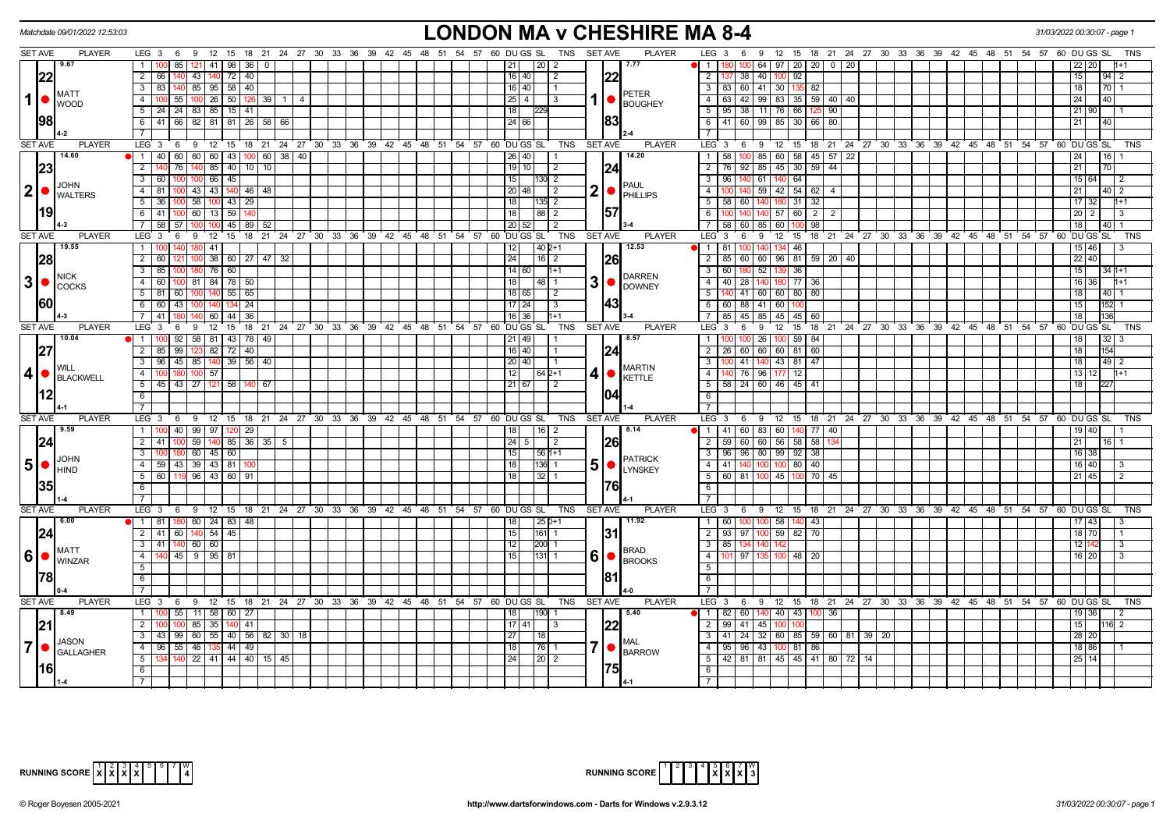|                | Matchdate 09/01/2022 12:53:03                            |                                                                                                       | LONDON MA v CHESHIRE MA 8-4                                                                                           | 31/03/2022 00:30:07 - page                                                          |
|----------------|----------------------------------------------------------|-------------------------------------------------------------------------------------------------------|-----------------------------------------------------------------------------------------------------------------------|-------------------------------------------------------------------------------------|
|                | <b>SET AVE</b><br><b>PLAYER</b>                          | LEG 3 6 9 12 15 18 21 24 27 30 33 36 39 42 45 48 51 54 57 60 DUGS SL TNS SETAVE                       | <b>PLAYER</b><br>$LEG_3 6$                                                                                            | 9 12 15 18 21 24 27 30 33 36 39 42 45 48 51 54 57 60 DUGS SL<br>TNS                 |
|                | 9.67                                                     | 85<br>  121   41   98   36                                                                            | 12012<br>7.77<br>$1 -$<br>21 I                                                                                        | 64 97 20 20 0 20                                                                    |
|                | 22                                                       | $\overline{2}$<br>43 440 72 40<br>66 140                                                              | 122<br>2   137   38  <br>$16$   40  <br>$\vert$ 2                                                                     | 40 100 92<br>15 <sub>1</sub><br>94<br>2                                             |
|                |                                                          | 83 140 85 95 58 40<br>$\overline{3}$                                                                  | $16$   40  <br>- 1                                                                                                    | 3   83   60   41   30   135<br>18<br>70<br>82                                       |
| $1$ $\bullet$  | <b>IMATT</b><br><b>WOOD</b>                              | 55 100 26 50 126<br>$\overline{4}$<br>$39$   1<br>4                                                   | <b>PETER</b><br>1   ●<br>63<br>42<br>25 4 <br>4 I<br>3<br><b>BOUGHEY</b>                                              | 99 83 35 59 40 40<br>24<br>40                                                       |
|                |                                                          | 24 24 83 85 15 41<br>5                                                                                | 18 <sup>1</sup><br>229                                                                                                | 5   95   38   11   76   66<br>21 90<br>90 <sup>°</sup>                              |
|                | 98                                                       | $6 \mid 41 \mid 66 \mid 82 \mid 81 \mid 81 \mid 26 \mid 58 \mid 66$                                   | 183<br>24   66                                                                                                        | 6 41 60 99 85 30 66 80<br>21<br>40                                                  |
|                |                                                          |                                                                                                       |                                                                                                                       |                                                                                     |
|                | <b>SET AVE</b><br><b>PLAYER</b>                          | LEG 3 6 9 12 15 18 21 24 27 30 33 36 39 42 45 48 51 54 57 60 DUGS SL                                  | <b>SET AVE</b><br><b>PLAYER</b><br>$LEG_3$ 6<br>TNS                                                                   | 9 12 15 18 21 24 27 30 33 36 39 42 45 48 51 54 57 60 DUGS SL<br>TNS                 |
|                | 14.60                                                    | 1 40 60 60 60 43 100 60 38 40                                                                         | 14.20<br>$1 \mid 58$<br>26 40 <br>100                                                                                 | 85 60 58 45 57 22<br>24<br>16                                                       |
|                | 23                                                       | $\overline{2}$<br>76<br>85 40 10 10<br>140                                                            | $19$ 10<br>92<br>124<br>$\overline{2}$<br>76<br>l 2                                                                   | 85 45 30<br>$59 \mid 44$<br>21<br>70                                                |
|                |                                                          | $100$ 66 $45$<br>$\overline{3}$<br>60                                                                 | 15<br>130 2<br>3 <sup>1</sup><br>96<br>140                                                                            | 64<br>15 64<br>61 140<br>2                                                          |
| $ 2  \bullet$  | <b>JOHN</b>                                              | 81   100   43   43   140   46   48<br>$\overline{4}$                                                  | <b>PAUL</b><br>$2  \bullet  _{\text{PHILLIPS}}$<br>20 48 <br>l 2<br>4 I<br>1001140                                    | 59 42 54 62 4<br>21<br>$40 \mid 2$                                                  |
|                | <b>I</b> WALTERS                                         | 00 58 100 43 29<br>5<br>36                                                                            | 18 <sup>1</sup><br>135 2<br>5  <br>58<br>60                                                                           | 31<br>32<br>17 32<br>180                                                            |
|                | 1191                                                     | 6<br>41 100 60 13 59                                                                                  | 157<br>$88$   2<br>$6$ 1<br>18 <sup>1</sup>                                                                           | 140 57 60<br>l 2 l<br>20<br>$\overline{2}$<br>3<br>$\overline{2}$                   |
|                |                                                          | 58 57 100<br>$100$ 45 89 52<br>$7\overline{ }$                                                        | 20 52<br>$\overline{2}$<br>7 58 60                                                                                    | 85 60 100<br>98<br>18<br>40 1                                                       |
|                | <b>SET AVE</b><br><b>PLAYER</b>                          | 18 21 24 27 30 33 36 39 42 45 48 51 54 57 60 DUGS SL<br>LEG <sup>3</sup><br>12<br>15<br>6<br>9        | <b>TNS</b><br><b>SET AVE</b><br><b>PLAYER</b><br>LEG 3<br>6                                                           | 12<br>15<br>18 21 24 27 30 33 36 39 42 45 48 51 54 57 60 DUGS SL<br><b>TNS</b><br>9 |
|                | 19.55                                                    | $\mathbf{1}$<br>41                                                                                    | 12.53<br>12<br>$\sqrt{40}$ 2+1<br>l 1 I<br>81                                                                         | 46<br>15 46                                                                         |
|                | 28                                                       | $\overline{2}$<br>38 60 27 47 32<br>60 I                                                              | 24<br> 26<br> 16 2                                                                                                    | 2   85   60   60   96   81   59   20   40<br>22 40                                  |
|                |                                                          | $180$ 76 60<br>$\overline{3}$<br>85                                                                   | 14 60 <br>$11+1$<br>$\overline{\phantom{a}3}$<br>$60$   180                                                           | 52 139 36<br>15<br>$341+1$                                                          |
| 3 •            | <b>NICK</b>                                              | 81 84 78 50<br>$\overline{4}$<br>60 I                                                                 | <b>DARREN</b><br>$3$ $\bullet$ $\beta$ $\beta$ $\beta$ $\beta$ $\beta$ $\beta$<br>40<br>18 I<br>I 48 I 1<br>4 I<br>28 | $\overline{77}$<br>140 <sup>1</sup><br>180<br>16 36<br>36                           |
|                | <b>COCKS</b>                                             | 5<br>55   65<br>81 60<br>100<br>140                                                                   | 18 65 <br>$5 \vert$<br>$\sqrt{2}$                                                                                     | 140 41 60 60 80 80<br>18 <sup>1</sup><br>40                                         |
|                | 1601                                                     | 60 43<br>$6\overline{6}$<br>24<br>134<br>100<br>140                                                   | <b>143</b><br>17 24 <br>88<br>$\sqrt{3}$<br>6<br>60                                                                   | 41 60<br>15<br>152                                                                  |
|                |                                                          | $\overline{7}$<br>41<br>36<br>60   44                                                                 | $85 \mid 45$<br>$1 + 1$<br>7 <sup>1</sup><br>16 36                                                                    | 85 45<br>45<br>18<br>60                                                             |
|                | <b>SET AVE</b><br><b>PLAYER</b>                          | LEG <sub>3</sub><br>$12 \quad 15$<br>18 21 24 27 30 33 36 39 42 45 48 51 54 57 60 DUGS SL<br>9<br>- 6 | <b>PLAYER</b><br><b>TNS</b><br><b>SET AVE</b><br>LEG <sub>3</sub><br>6                                                | 12<br>15<br>18 21 24 27 30 33 36 39 42 45 48 51 54 57 60 DUGS SL<br>9<br><b>TNS</b> |
|                | 10.04                                                    | $\mathbf{1}$<br>92<br>58   81   43   78  <br>- 49                                                     | 8.57<br>$1 \vert$<br>21   49                                                                                          | 26<br>59<br>100<br>84                                                               |
|                | 27                                                       | $\overline{2}$<br>85 99 123 82 72 40                                                                  | 16 40 <br> 24                                                                                                         | 2   26   60   60   60   81   60<br>18<br>154                                        |
|                |                                                          | 96 45 85 140 39 56 40<br>$\overline{3}$                                                               | 100 41<br>20 40 <br>$\overline{\phantom{a}3}$                                                                         | 140 43 81 47<br>18<br>$49$ 2                                                        |
| 4              | I WILL                                                   | $100$ 57<br>$\overline{4}$                                                                            | <b>MARTIN</b><br>12<br>41●1<br>$-4$<br>$164p+1$                                                                       | 140 76 96 177<br>$\overline{12}$<br>$13 \mid 12 \mid$<br>$1 + 1$                    |
|                | BLACKWELL                                                | 45 43 27 121 58 140<br>5<br>67                                                                        | <b>KETTLE</b><br>21   67 <br>$\sqrt{2}$                                                                               | $5$   58   24   60   46   45   41<br>18<br>227                                      |
|                | 12                                                       | 6                                                                                                     | 104<br>6                                                                                                              |                                                                                     |
|                |                                                          |                                                                                                       | $\overline{7}$                                                                                                        |                                                                                     |
|                | <b>SET AVE</b><br><b>PLAYER</b>                          | LEG <sub>3</sub><br>6 9 12 15 18 21 24 27 30 33 36 39 42 45 48 51 54 57 60 DUGS SL                    | <b>TNS</b><br><b>SET AVE</b><br><b>PLAYER</b><br>LEG <sub>3</sub><br>6                                                | 9 12 15 18 21 24 27 30 33 36 39 42 45 48 51 54 57 60 DUGS SL<br>TNS                 |
|                | 9.59                                                     | 1 100 40 99 97 120 29                                                                                 | 8.14<br>18<br> 16 2                                                                                                   | $\bullet$   1   41   60   83   60   140   77   40  <br>19 40                        |
|                | 24                                                       | $\overline{2}$<br>59<br>$140$ 85 36 35 5<br>41                                                        | 24   5  <br><b>26</b><br>2   59   60<br>$\sqrt{2}$                                                                    | 60 56 58<br>58<br>21<br>16                                                          |
|                |                                                          | $\overline{3}$<br>60 45 60                                                                            | 15<br>  56   1+1                                                                                                      | 3   96   96   80   99   92   38<br>16 38                                            |
| $5$ $\bullet$  | <b>JOHN</b>                                              | 59 43 39 43 81<br>$\overline{4}$                                                                      | <b>PATRICK</b><br>5  <sub>o</sub>  <br>18<br>l136 11                                                                  | 4   41   140   100   100   80  <br>40<br>16 40<br>-3                                |
|                | IHIND                                                    | 5 60 119 96 43 60 91                                                                                  | <b>LYNSKEY</b><br>18 <sup>1</sup><br>  32   1                                                                         | 5 60 81 100 45 100<br>$70$   45<br>$21 \overline{45}$                               |
|                |                                                          | 6                                                                                                     | 176<br>6                                                                                                              |                                                                                     |
|                |                                                          | $\overline{7}$                                                                                        | $7\overline{ }$                                                                                                       |                                                                                     |
|                | <b>SET AVE</b><br><b>PLAYER</b>                          | LEG 3 6 9 12 15 18 21 24 27 30 33 36 39 42 45 48 51 54 57 60 DUGS SL                                  | TNS<br><b>SET AVE</b><br><b>PLAYER</b>                                                                                | LEG 3 6 9 12 15 18 21 24 27 30 33 36 39 42 45 48 51 54 57 60 DUGS SL<br>TNS         |
|                | 6.00                                                     | 1   81   180   60   24   83   48                                                                      | $125D+1$<br>11.92<br>18<br>$\overline{1}$<br>60<br>100                                                                | 100 58<br>43<br>$17 \overline{\smash{)}\,43}$<br>140<br>3                           |
|                | 24                                                       | 2 41 60 140 54 45                                                                                     | 31 <br>15<br>161 1                                                                                                    | 2   93   97   100   59   82  <br>$\overline{70}$<br>18 70                           |
|                |                                                          | $3$ 41 40 60 60                                                                                       | 12<br>3   85   134<br>200 1                                                                                           | 12 142<br>3                                                                         |
|                | <b>MATT</b><br>$ 6 $ $\bullet$ $\frac{1}{\text{WINZAR}}$ | $\overline{4}$<br>140 45 9 95 81                                                                      | BRAD<br>6 • <br>4<br>97<br>15 <sup>1</sup><br>101                                                                     | 48<br>100<br>20<br>16 20<br>3                                                       |
|                |                                                          | $\overline{5}$                                                                                        | <b>BROOKS</b><br>5 <sup>5</sup>                                                                                       |                                                                                     |
|                | 1781                                                     | 6                                                                                                     | 181<br>6                                                                                                              |                                                                                     |
|                |                                                          | $\overline{7}$                                                                                        | $\overline{7}$                                                                                                        |                                                                                     |
|                | <b>SET AVE</b><br><b>PLAYER</b>                          | LEG 3 6 9 12 15 18 21 24 27 30 33 36 39 42 45 48 51 54 57 60 DUGS SL                                  | <b>PLAYER</b><br>TNS<br><b>SET AVE</b>                                                                                | LEG 3 6 9 12 15 18 21 24 27 30 33 36 39 42 45 48 51 54 57 60 DUGS SL<br>TNS         |
|                | 8.49                                                     | 55 11 58 60 27<br>1 <sup>1</sup>                                                                      | 5.40<br>60<br>18 I<br> 1 82                                                                                           | 140 40 43<br>36<br>19 36<br>2                                                       |
|                | 21                                                       | $\overline{2}$<br>85 35 140 41                                                                        | 2   99   41   45   100<br>17   41<br>-3                                                                               | 15 <sup>1</sup><br>$\overline{2}$                                                   |
|                |                                                          | $\overline{3}$<br>43 99 60 55 40 56 82 30<br>18                                                       | 3   41   24<br>27<br>l 18.                                                                                            | 32 60 85 59 60 81<br>  39   20<br>28 20                                             |
| $\overline{7}$ | <b>JASON</b>                                             | 96 55 46 135 44 49<br>4                                                                               | <b>MAL</b><br>7 • <br>18<br> 76 1                                                                                     | 4   95   96   43   100   81   86  <br>18 86                                         |
|                | <b>GALLAGHER</b>                                         | $\overline{5}$<br>134 140 22 41 44 40 15 45                                                           | <b>BARROW</b><br>24<br>$\sqrt{20}$ 2                                                                                  | 5   42   81   81   45   45   41   80   72   14<br>25 14                             |
|                | l161                                                     | 6                                                                                                     | 175<br>6                                                                                                              |                                                                                     |
|                |                                                          | $\overline{7}$                                                                                        |                                                                                                                       |                                                                                     |



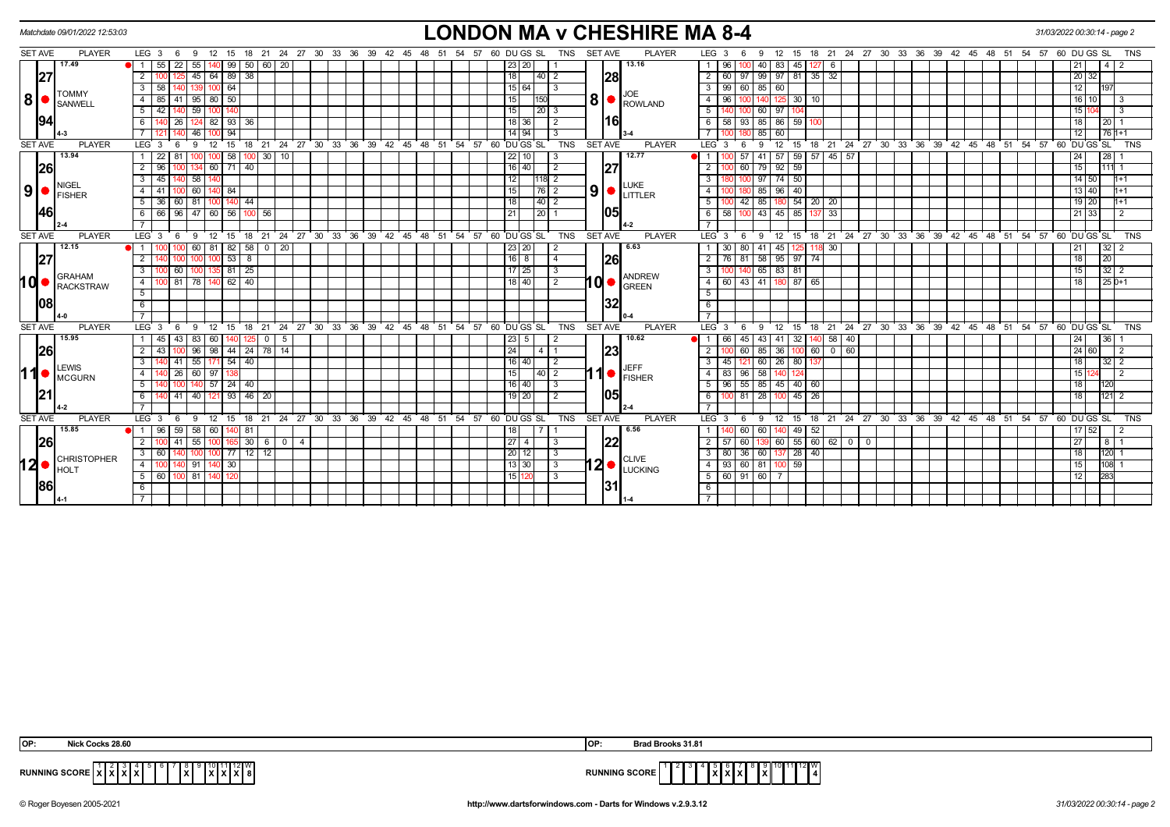|                |             | Matchdate 09/01/2022 12:53:03                                      |                                       |              |                      |                             |               |                                                            |  |                               |  |                  |             |                 |                    |                 |                |     | <b>LONDON MA v CHESHIRE MA 8-4</b>                             |                    |           |                                                     |                                                |        |                 |    |  |  |                                                              |            |                   | 31/03/2022 00:30:14 - page 2 |                 |            |
|----------------|-------------|--------------------------------------------------------------------|---------------------------------------|--------------|----------------------|-----------------------------|---------------|------------------------------------------------------------|--|-------------------------------|--|------------------|-------------|-----------------|--------------------|-----------------|----------------|-----|----------------------------------------------------------------|--------------------|-----------|-----------------------------------------------------|------------------------------------------------|--------|-----------------|----|--|--|--------------------------------------------------------------|------------|-------------------|------------------------------|-----------------|------------|
| SET AVE        |             | <b>PLAYER</b>                                                      | $LEG_3 6$                             | 9            |                      |                             |               | 12 15 18 21 24 27 30 33 36 39 42 45 48 51 54 57 60 DUGS SL |  |                               |  |                  |             |                 |                    | <b>TNS</b>      | <b>SET AVE</b> |     | <b>PLAYER</b>                                                  | LEG <sub>3</sub>   |           | - 6<br>9                                            | 12                                             |        |                 |    |  |  | 15 18 21 24 27 30 33 36 39 42 45 48 51 54 57 60 DUGS SL      |            |                   |                              |                 | <b>TNS</b> |
|                |             | 17.49                                                              | 55                                    | 22<br>55     |                      | $99$ 50 60 20               |               |                                                            |  |                               |  |                  |             | 23 20           |                    |                 |                |     | 13.16                                                          |                    | 96        |                                                     | 83<br>40 I                                     | 45     | 12716           |    |  |  |                                                              |            |                   |                              | $\overline{4}$  |            |
|                | 27          |                                                                    | $\overline{2}$                        | 45           |                      | 64 89 38                    |               |                                                            |  |                               |  |                  |             | 18              | 40   2             |                 |                | 28  |                                                                |                    | 60        | 97                                                  | 99 97                                          | 81     | $35 \mid 32$    |    |  |  |                                                              |            |                   | 20 32                        |                 |            |
|                |             | <b>TOMMY</b>                                                       | 58<br>3                               |              | 100164               |                             |               |                                                            |  |                               |  |                  |             | 15 64           |                    | $\mathsf{I}3$   |                |     |                                                                | 3 I                | 99        | 60                                                  | 85 60                                          |        |                 |    |  |  |                                                              |            |                   | 12                           | 197             |            |
| $8  \bullet$   |             | SANWELL                                                            | $\overline{4}$<br>85                  |              | $95 \mid 80 \mid 50$ |                             |               |                                                            |  |                               |  |                  |             | 15              | 150                |                 |                |     | JOE<br>$\frac{1}{8}$ $\bullet$ $\frac{1}{100}$ $\frac{1}{100}$ |                    | 96        |                                                     |                                                | 30     | 10 <sup>1</sup> |    |  |  |                                                              |            |                   | 16                           |                 |            |
|                |             |                                                                    | 5<br>42                               | 59           |                      |                             |               |                                                            |  |                               |  |                  |             | $\overline{15}$ | $\vert 20 \vert 3$ |                 |                |     |                                                                | $5\vert$           | 140       |                                                     | 60 97                                          |        |                 |    |  |  |                                                              |            |                   | 15                           | -3              |            |
|                | 94          |                                                                    | 6                                     |              |                      | 82   93   36                |               |                                                            |  |                               |  |                  |             | 18 36           |                    | $\overline{2}$  |                | l16 |                                                                |                    | 58        | 93                                                  | 85 86                                          | 59     |                 |    |  |  |                                                              |            |                   | 18                           | 20 <sub>1</sub> |            |
|                |             |                                                                    |                                       | 46           |                      |                             |               |                                                            |  |                               |  |                  |             | $14$ 94         |                    |                 |                |     |                                                                |                    |           |                                                     | $85$ 60                                        |        |                 |    |  |  |                                                              |            |                   | 12                           | $761+1$         |            |
| <b>SET AVE</b> |             | <b>PLAYER</b>                                                      | LEG <sub>3</sub>                      | -9           | 12                   | 18<br>15                    | $^{\circ}$ 21 | 24 27 30 33 36 39 42 45 48                                 |  |                               |  | 51 54 57         | 60 DU GS SL |                 |                    | <b>TNS</b>      | SET AVE        |     | <b>PLAYER</b>                                                  | LEG <sup>3</sup>   |           | 9<br>- 6                                            | 12                                             | 15     |                 |    |  |  | 18 21 24 27 30 33 36 39 42 45                                | $48 \t 51$ | 54 57 60 DU GS SL |                              |                 | <b>TNS</b> |
|                |             | 13.94                                                              | $\overline{22}$                       |              |                      | 58                          | 1001          | 30 10                                                      |  |                               |  |                  |             | 22 10           |                    | l 3             |                |     | 12.77                                                          |                    |           | 57                                                  | 41 57 59 57 45 57                              |        |                 |    |  |  |                                                              |            |                   | 24                           | 28              |            |
|                | 26          |                                                                    | $\overline{2}$<br>96                  | 134          |                      | 60 71 40                    |               |                                                            |  |                               |  |                  |             | 16 40           |                    | $\sqrt{2}$      |                | 27  |                                                                |                    |           | 60                                                  | 79 92                                          | 59     |                 |    |  |  |                                                              |            |                   | 15                           | 11111           |            |
|                |             | <b>NIGEL</b>                                                       | $\overline{3}$<br>45                  | 58           |                      |                             |               |                                                            |  |                               |  |                  |             | 12              | 118 2              |                 |                |     | <b>LUKE</b>                                                    | $\overline{3}$     |           |                                                     | $97 \overline{74}$                             | 50     |                 |    |  |  |                                                              |            |                   | 14 50                        | $1 + 1$         |            |
| 9 <sup>1</sup> | $\bullet$ i | <b>IFISHER</b>                                                     | 4 I<br>41                             |              | 60 140 84            |                             |               |                                                            |  |                               |  |                  |             | 15              | $\overline{76}$ 2  |                 |                |     | $\vert 9 \vert$ $\bullet$ $\vert_{\text{LITLER}}$              | 4                  |           |                                                     | 85 96                                          | 40     |                 |    |  |  |                                                              |            |                   | $13 \mid 40$                 | $1+1$           |            |
|                |             |                                                                    | 5  <br>36                             | 81           |                      | $140$ 44                    |               |                                                            |  |                               |  |                  |             | 18              | 40 2               |                 |                |     |                                                                | . <sub>5</sub> l   |           | 42                                                  | 85 I                                           | 180 54 | $20 \mid 20$    |    |  |  |                                                              |            |                   | 19 20                        | $1+1$           |            |
|                | 46          |                                                                    | 6   66   96   47   60   56   100   56 |              |                      |                             |               |                                                            |  |                               |  |                  |             | 21              | $\overline{20}$ 1  |                 |                | 105 |                                                                |                    | 6 58 100  |                                                     | 43 45 85 137 33                                |        |                 |    |  |  |                                                              |            |                   | 21 33                        | $\overline{2}$  |            |
|                |             |                                                                    |                                       |              |                      |                             |               |                                                            |  |                               |  |                  |             |                 |                    |                 |                |     |                                                                |                    |           |                                                     |                                                |        |                 |    |  |  |                                                              |            |                   |                              |                 |            |
| <b>SET AVE</b> |             | <b>PLAYER</b>                                                      | LEG <sup>3</sup>                      | 9<br>- 6     | 12                   | ່ 15<br>18                  | $^{\circ}$ 21 | 24 27 30 33 36 39 42 45 48 51 54 57 60 DUGS SL             |  |                               |  |                  |             |                 |                    | <b>TNS</b>      | <b>SET AVE</b> |     | <b>PLAYER</b>                                                  | LEG <sup>'</sup> 3 |           | 9<br>- 6                                            | 12                                             | 15     |                 |    |  |  | 18 21 24 27 30 33 36 39 42 45 48 51 54 57 60 DUGS SL         |            |                   |                              |                 | <b>TNS</b> |
|                |             | 12.15                                                              |                                       |              | 60   81              | 82   58                     |               | $0 \mid 20$                                                |  |                               |  |                  |             | 23   20         |                    | $\overline{2}$  |                |     | 6.63                                                           |                    | 30        | 80                                                  | $41 \mid 45$                                   | 125    | 118 30          |    |  |  |                                                              |            |                   | 21                           | $32 \mid 2$     |            |
|                | 27          |                                                                    | $\overline{2}$                        | $100 \,$     |                      | $153$ 8                     |               |                                                            |  |                               |  |                  |             | 166             |                    | $\sqrt{4}$      |                | 26  |                                                                |                    |           | 2 76 81 58 95 97 74                                 |                                                |        |                 |    |  |  |                                                              |            |                   | $\overline{18}$              | 20              |            |
|                |             | <b>GRAHAM</b>                                                      | $\overline{\mathbf{3}}$               | 60           |                      | 81 25                       |               |                                                            |  |                               |  |                  |             | $17$ 25         |                    | -3              |                |     | <b>ANDREW</b>                                                  | 3                  | 100       | 140                                                 | 65 83 81                                       |        |                 |    |  |  |                                                              |            |                   | 15                           | $32$   2        |            |
| ∣d (           |             | RACKSTRAW                                                          | $\overline{4}$                        | 81<br> 78    |                      | $140$ 62 40                 |               |                                                            |  |                               |  |                  |             | 18   40         |                    | $\sqrt{2}$      | 10I●I          |     | <b>GREEN</b>                                                   |                    |           | 4 60 43 41 180 87 65                                |                                                |        |                 |    |  |  |                                                              |            |                   | 18                           | $250+1$         |            |
|                |             |                                                                    | 5 <sup>5</sup>                        |              |                      |                             |               |                                                            |  |                               |  |                  |             |                 |                    |                 |                |     |                                                                | 5 <sup>7</sup>     |           |                                                     |                                                |        |                 |    |  |  |                                                              |            |                   |                              |                 |            |
|                | 08          |                                                                    | 6                                     |              |                      |                             |               |                                                            |  |                               |  |                  |             |                 |                    |                 |                | 32  |                                                                | 6                  |           |                                                     |                                                |        |                 |    |  |  |                                                              |            |                   |                              |                 |            |
|                |             |                                                                    |                                       |              |                      |                             |               |                                                            |  |                               |  |                  |             |                 |                    |                 |                |     |                                                                |                    |           |                                                     |                                                |        |                 |    |  |  |                                                              |            |                   |                              |                 |            |
| <b>SET AVE</b> |             | <b>PLAYER</b>                                                      | LEG <sub>3</sub>                      | - 6<br>-9    | 12 <sup>2</sup>      | 15<br>18                    | 21            |                                                            |  | 24 27 30 33 36 39 42 45 48 51 |  | 54 57 60 DUGS SL |             |                 |                    | <b>TNS</b>      | <b>SET AVE</b> |     | <b>PLAYER</b>                                                  | LEG 3              |           | 9                                                   | 12                                             | 15     | 18 21           |    |  |  | 24 27 30 33 36 39 42 45 48 51 54 57 60 DUGS SL               |            |                   |                              |                 | <b>TNS</b> |
|                |             | 15.95                                                              | 45                                    | 43 I         | 83   60              | 125                         |               | $0$   5                                                    |  |                               |  |                  |             | 23 5            |                    | $\overline{2}$  |                |     | 10.62                                                          |                    | 66        | 45                                                  | 43 41                                          | 32     | 40  58          | 40 |  |  |                                                              |            |                   | 24                           | 36              |            |
|                | 26          |                                                                    | $\overline{2}$                        |              |                      | 96   98   44   24   78   14 |               |                                                            |  |                               |  |                  |             | 24              | I 4 I 1            |                 |                | 23  |                                                                | $\overline{2}$     |           | 60                                                  | 85 36                                          |        | 60 0 60         |    |  |  |                                                              |            |                   | 24 60                        | $\overline{2}$  |            |
|                |             | <b>LEWIS</b>                                                       | $\overline{3}$                        |              |                      | $\boxed{41}$ 55 171 54 40   |               |                                                            |  |                               |  |                  |             | 16 40           |                    | $\overline{12}$ |                |     | <b>JEFF</b>                                                    |                    |           | 3   45   121   60   26   80   137                   |                                                |        |                 |    |  |  |                                                              |            |                   | 18                           | $32 \mid 2$     |            |
| ∣1             |             | I <sup>O</sup> MCGURN                                              | 4 <sup>1</sup>                        | - 26 I       | $60 \mid 97 \mid$    |                             |               |                                                            |  |                               |  |                  |             | 15              | $\vert 40 \vert 2$ |                 |                |     | $\left  \cdot \right $ $\left  \cdot \right $ FISHER           | 4                  | 83        | $\sqrt{96}$                                         | $58$ 140                                       |        |                 |    |  |  |                                                              |            |                   | 15                           | $\overline{2}$  |            |
|                |             |                                                                    | 5                                     |              |                      | $140$ 57 24 40              |               |                                                            |  |                               |  |                  |             | 16 40           |                    | <u>Гз</u>       |                |     |                                                                |                    |           | $5 \mid 96 \mid 55 \mid 85 \mid 45 \mid 40 \mid 60$ |                                                |        |                 |    |  |  |                                                              |            |                   | 18                           | 120             |            |
|                | 21          |                                                                    | 6                                     | 40<br>41     | $12^{\circ}$         | $93146$ 20                  |               |                                                            |  |                               |  |                  |             | $19$ 20         |                    | $\overline{2}$  |                | 105 |                                                                | 6                  | $100$ 81  |                                                     | 28 100 45                                      |        | 26              |    |  |  |                                                              |            |                   | 18                           | $121$ 2         |            |
|                |             |                                                                    | $\overline{7}$                        |              |                      |                             |               |                                                            |  |                               |  |                  |             |                 |                    |                 |                |     |                                                                |                    |           |                                                     |                                                |        |                 |    |  |  |                                                              |            |                   |                              |                 |            |
| <b>SET AVE</b> |             | <b>PLAYER</b>                                                      | LEG $3 \t6$                           | - 9          |                      |                             |               | 12 15 18 21 24 27 30 33 36 39 42 45 48 51 54 57 60 DUGS SL |  |                               |  |                  |             |                 |                    | TNS             | <b>SET AVE</b> |     | <b>PLAYER</b>                                                  |                    | $LEG_3$ 6 |                                                     |                                                |        |                 |    |  |  | 9 12 15 18 21 24 27 30 33 36 39 42 45 48 51 54 57 60 DUGS SL |            |                   |                              |                 | TNS        |
|                |             | 15.85                                                              | <b>1</b> 1 96                         | 59<br>58     | 60 I                 | $140$ 81                    |               |                                                            |  |                               |  |                  |             | 18              |                    |                 |                |     | 6.56                                                           |                    |           | 60                                                  | 60 I                                           | 49     | 52              |    |  |  |                                                              |            |                   | $17 \overline{)52}$          | $\overline{2}$  |            |
|                | 26          |                                                                    | $\overline{2}$                        | 55<br>l 41 l |                      |                             |               | $100 \mid 165 \mid 30 \mid 6 \mid 0 \mid 4$                |  |                               |  |                  |             | $\sqrt{27}$ 4   |                    | 3               |                | 22  |                                                                | 2   57             | 80 36     | 60                                                  | $139 \t60 \t55 \t60 \t62 \t0 \t0$<br>60 137 28 |        |                 |    |  |  |                                                              |            |                   | 27<br>18                     | 8               |            |
|                |             | <b>CHRISTOPHER</b>                                                 | 3   60                                | 100          |                      | 77 12 12                    |               |                                                            |  |                               |  |                  |             | 20 12           |                    | 3               |                |     | <b>CLIVE</b>                                                   | 3 <sup>1</sup>     |           |                                                     |                                                |        | 40              |    |  |  |                                                              |            |                   |                              | 120 1           |            |
|                |             | $\mathbf{12} \bullet \vert_\text{\tiny{HOLT}}^\text{\tiny{CHRIS}}$ | 4 I                                   |              | 91   140   30        |                             |               |                                                            |  |                               |  |                  |             | 13 30           |                    | $\overline{13}$ |                |     | $12$ $\bullet$ $\overline{LUCKING}$                            |                    |           | 4   93   60   81   100   59                         |                                                |        |                 |    |  |  |                                                              |            |                   | 15                           | $108$ 1         |            |
|                |             |                                                                    | 5 60                                  | 00 81 14     |                      |                             |               |                                                            |  |                               |  |                  |             | 15              |                    | l 3             |                |     |                                                                |                    |           | $5 \ 60 \ 91 \ 60 \ 7$                              |                                                |        |                 |    |  |  |                                                              |            |                   | 12                           | 283             |            |
|                | 86          |                                                                    | 6                                     |              |                      |                             |               |                                                            |  |                               |  |                  |             |                 |                    |                 |                | 31  |                                                                | 6                  |           |                                                     |                                                |        |                 |    |  |  |                                                              |            |                   |                              |                 |            |
|                |             |                                                                    | $\overline{7}$                        |              |                      |                             |               |                                                            |  |                               |  |                  |             |                 |                    |                 |                |     |                                                                |                    |           |                                                     |                                                |        |                 |    |  |  |                                                              |            |                   |                              |                 |            |

| IOP:<br>:ocks 28.60                                        | ad Brooks 31.81                                                                         |
|------------------------------------------------------------|-----------------------------------------------------------------------------------------|
| 12 I V<br>RUNNING SCORE<br>1x I<br>.<br>.<br>.<br>$\cdots$ | <sup>า</sup> ∎11∥12∥W <sub>I</sub><br>$NMS$ SCORE $^{\prime}$<br>.<br><b>RUP</b><br>. . |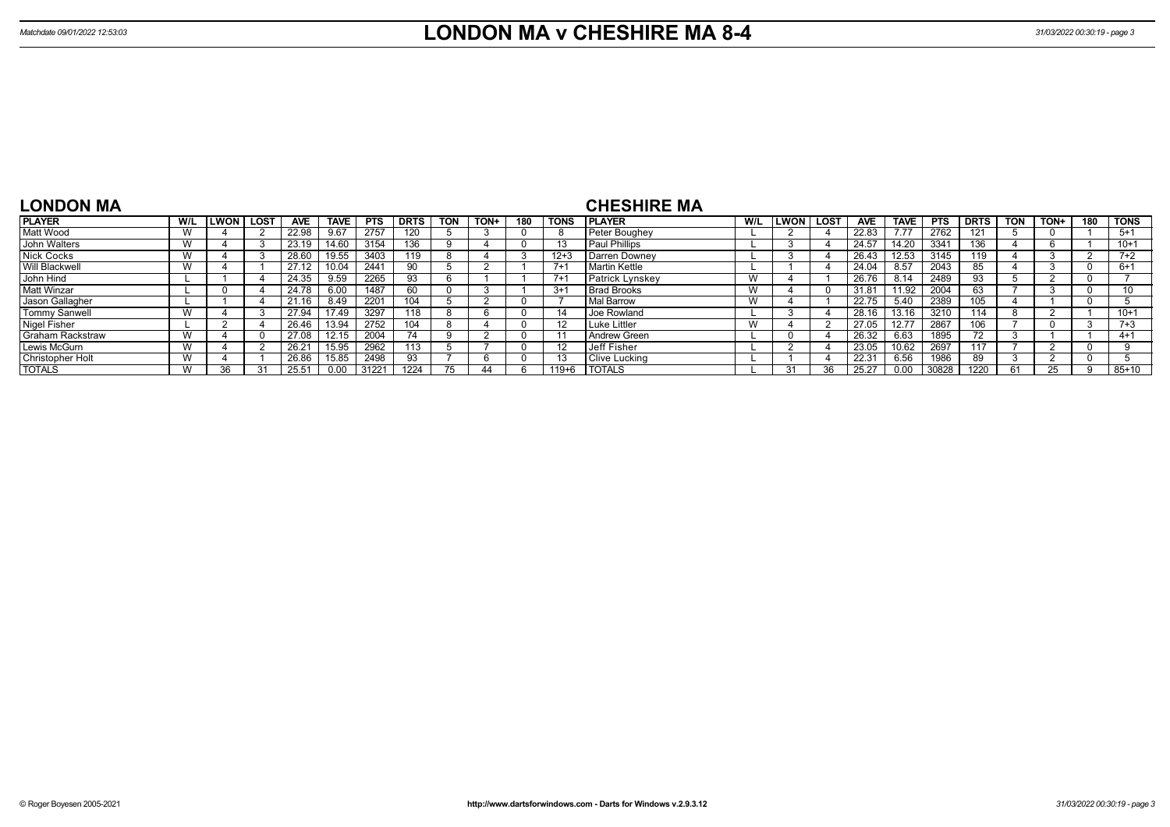| <b>LONDON MA</b>        |     |             |             |                |             |            |             |            |      |     |          | <b>CHESHIRE MA</b>     |                 |              |             |                |             |            |             |            |      |     |             |
|-------------------------|-----|-------------|-------------|----------------|-------------|------------|-------------|------------|------|-----|----------|------------------------|-----------------|--------------|-------------|----------------|-------------|------------|-------------|------------|------|-----|-------------|
| <b>PLAYER</b>           | W/L | <b>LWON</b> | <b>LOST</b> | <b>AVE</b>     | <b>TAVE</b> | <b>PTS</b> | <b>DRTS</b> | <b>TON</b> | TON+ | 180 | TONS     | <b>IPLAYER</b>         | W/L             | LWON l       | <b>LOST</b> | <b>AVE</b>     | <b>TAVE</b> | <b>PTS</b> | <b>DRTS</b> | <b>TON</b> | TON+ | 180 | <b>TONS</b> |
| Matt Wood               | W   |             |             | 22.98          | 9.67        | 2757       | 120         |            |      |     |          | Peter Boughey          |                 |              |             | 22.83          |             | 2762       | 121         |            |      |     | $5+1$       |
| John Walters            |     |             |             | 23.19          | 14.60       | 3154       | 136         |            |      |     |          | Paul Phillips          |                 |              |             | 24.57          | 14.20       | 3341       | 136         |            |      |     | $10+1$      |
| <b>Nick Cocks</b>       | W   |             |             | 28.60          | 19.55       | 3403       | 119         |            |      |     | $12 + 3$ | Darren Downey          |                 |              |             | 26.43          | 12.53       | 3145       | 119         |            |      |     | $7+2$       |
| <b>Will Blackwell</b>   | W   |             |             | 27.12          | 10.04       | 2441       | 90          |            |      |     | $7+1$    | Martin Kettle          |                 |              |             | 24.04          | 8.57        | 2043       |             |            |      |     | $6+1$       |
| John Hind               |     |             |             | 24.35          | 9.59        | 2265       | 93          |            |      |     | $7 + 1$  | <b>Patrick Lynskey</b> | v v             |              |             | 26.76          | 8.14        | 2489       | 93          |            |      |     |             |
| <b>Matt Winzar</b>      |     |             |             | 24.78          | 6.00        | 1487       | 60          |            |      |     | $3+1$    | <b>Brad Brooks</b>     | vv              |              |             | $31.8^{\circ}$ | 11.92       | 2004       | 63          |            |      |     | 10          |
| Jason Gallagher         |     |             |             | 21.16          | 8.49        | 2201       | 104         |            |      |     |          | Mal Barrow             | vv              |              |             | 22.75          | 5.40        | 2389       | 105         |            |      |     |             |
| <b>Tommy Sanwell</b>    | W   |             |             | 27.94          | 7.49        | 3297       | 118         |            |      |     | 14       | <b>Joe Rowland</b>     |                 |              |             | 28.16          | 13.16       | 3210       | 14          |            |      |     | $10+1$      |
| <b>Nigel Fisher</b>     |     |             |             | 26.46          | 13.94       | 2752       | 104         |            |      |     | -12      | Luke Littler           | $\lambda$<br>vv |              |             | 27.05          | 12.77       | 2867       | 106         |            |      |     | $7 + 3$     |
| <b>Graham Rackstraw</b> |     |             |             | 27.08          | 12.15       | 2004       |             |            |      |     |          | Andrew Green           |                 |              |             | 26.32          | 6.63        | 1895       |             |            |      |     | $4+1$       |
| Lewis McGurn            |     |             |             | $26.2^{\circ}$ | 15.95       | 2962       | 113         |            |      |     | -12      | <b>Jeff Fisher</b>     |                 |              |             | 23.05          | 10.62       | 2697       |             |            |      |     |             |
| <b>Christopher Holt</b> | W   |             |             | 26.86          | 15.85       | 2498       | 93          |            | b    |     |          | Clive Lucking          |                 |              |             | 22.3'          | 6.56        | 1986       | 89          |            |      |     |             |
| <b>TOTALS</b>           |     | วค          |             |                | 0.00        | 3122       | 1224        |            | 44   |     | 119+6    | <b>TOTALS</b>          |                 | $\mathbf{P}$ | 36          |                | 0.00        | 30828      | 1220        | -61        |      |     | $85 + 10$   |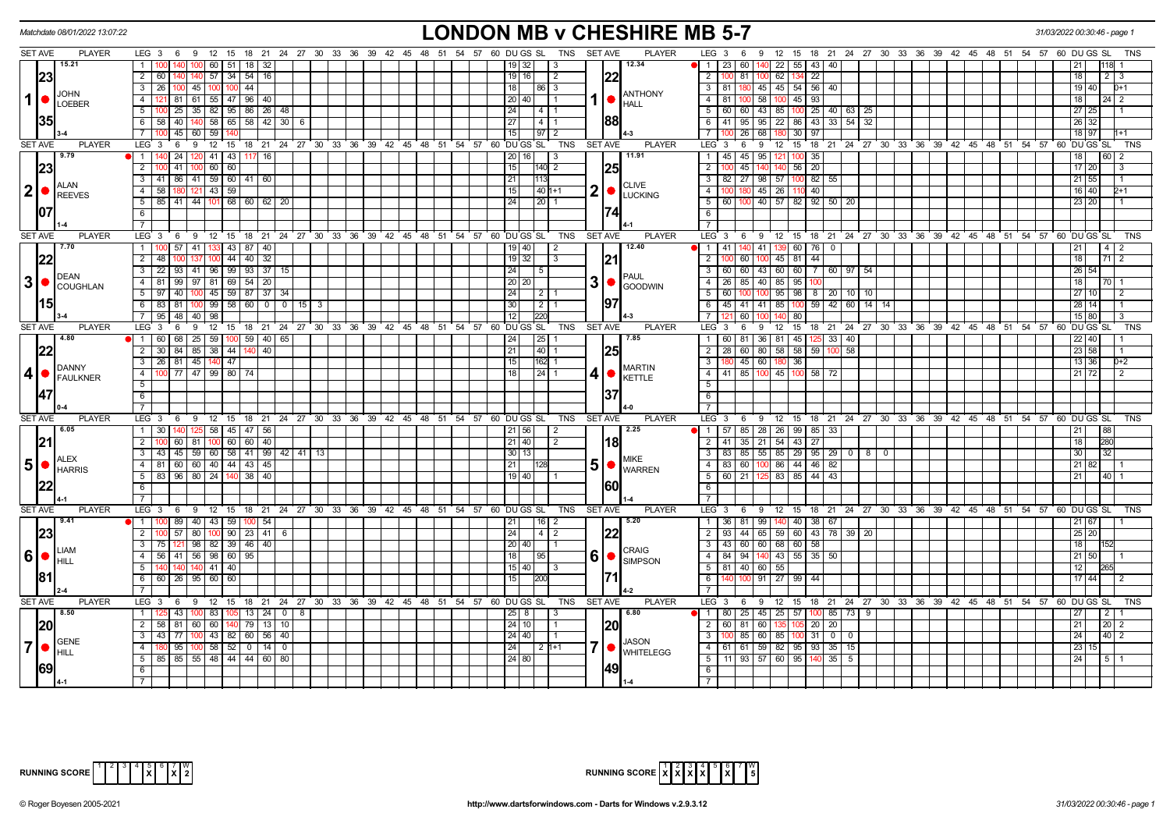|                   | Matchdate 08/01/2022 13:07:22                  |                                                                                    |                |    |     |  |                                                            |                 |                   |                |                | <b>LONDON MB v CHESHIRE MB 5-7</b>                                 |                                                    |           |                      |                |                  |                 |                                             |     |  |  |                                                                      | 31/03/2022 00:30:46 - page 1 |                     |                                                                |            |
|-------------------|------------------------------------------------|------------------------------------------------------------------------------------|----------------|----|-----|--|------------------------------------------------------------|-----------------|-------------------|----------------|----------------|--------------------------------------------------------------------|----------------------------------------------------|-----------|----------------------|----------------|------------------|-----------------|---------------------------------------------|-----|--|--|----------------------------------------------------------------------|------------------------------|---------------------|----------------------------------------------------------------|------------|
| <b>SET AVE</b>    | <b>PLAYER</b>                                  | LEG 3 6 9 12 15 18 21 24 27 30 33 36 39 42 45 48 51 54 57 60 DUGS SL               |                |    |     |  |                                                            |                 |                   | <b>TNS</b>     | <b>SET AVE</b> | <b>PLAYER</b>                                                      |                                                    |           |                      |                |                  |                 |                                             |     |  |  | LEG 3 6 9 12 15 18 21 24 27 30 33 36 39 42 45 48 51 54 57 60 DUGS SL |                              |                     |                                                                | TNS        |
|                   | 15.21                                          | 60   51   18                                                                       |                |    |     |  |                                                            |                 | 19132             | -3             |                | 12.34                                                              | 112360                                             |           |                      |                |                  | 140 22 55 43 40 |                                             |     |  |  |                                                                      |                              |                     |                                                                |            |
| 23                |                                                | 2 60 140 140 57 34 54 16                                                           |                |    |     |  |                                                            |                 | 19   16           | $\overline{2}$ |                |                                                                    | 2                                                  | $100$ 81  | $100$ 62             |                | 134 22           |                 |                                             |     |  |  |                                                                      | 18                           |                     |                                                                |            |
|                   |                                                | $\overline{3}$<br>26 100 45 100 100 44                                             |                |    |     |  |                                                            | 18              | 86 3              |                |                |                                                                    | 3 81 180                                           |           | 45 45 54 56 40       |                |                  |                 |                                             |     |  |  |                                                                      |                              | 19 40               | $D+1$                                                          |            |
| $1$ $\bullet$     | <b>JOHN</b><br>LOEBER                          | 81 61 55 47 96 40<br>$\overline{4}$                                                |                |    |     |  |                                                            |                 | 20   40           | l 1            |                | <b>ANTHONY</b><br><b>HALL</b>                                      | $4 \mid 81$                                        | 100       | 58 100 45            |                | $-93$            |                 |                                             |     |  |  |                                                                      | 18 <sup>1</sup>              |                     | $\overline{2}$                                                 |            |
|                   |                                                | 5<br>100 25 35 82 95 86 26 48                                                      |                |    |     |  |                                                            | 24              | 4   1             |                |                |                                                                    | $5   60   60   43   85   100   25   40   63   25$  |           |                      |                |                  |                 |                                             |     |  |  |                                                                      |                              | 27 25               |                                                                |            |
| 35                |                                                | 6 58 40 140 58 65 58 42 30                                                         |                | 6  |     |  |                                                            | 27              | 4   1             |                | 88             |                                                                    |                                                    |           |                      |                |                  |                 |                                             |     |  |  |                                                                      |                              | 26 32               |                                                                |            |
|                   |                                                | $\overline{7}$<br>$45 \mid 60 \mid 59$                                             |                |    |     |  |                                                            |                 | $\overline{97}$   |                |                |                                                                    | 7 <sup>1</sup>                                     | 26        | 68                   |                | 30<br>97         |                 |                                             |     |  |  |                                                                      |                              | 18 97               | $1 + 1$                                                        |            |
| <b>SET AVE</b>    | <b>PLAYER</b>                                  | LEG 3<br>6 9 12 15 18 21 24 27 30 33 36 39 42 45 48 51 54 57 60 DUGS SL            |                |    |     |  |                                                            |                 |                   | TNS            | <b>SET AVE</b> | <b>PLAYER</b>                                                      | LEG <sup>3</sup>                                   | 6         |                      |                |                  |                 |                                             |     |  |  | 9 12 15 18 21 24 27 30 33 36 39 42 45 48 51 54 57 60 DUGS SL         |                              |                     |                                                                | TNS        |
|                   | 9.79                                           | 1<br>  24   120   41   43                                                          | 16 <br>117     |    |     |  |                                                            |                 | 20 16             | l 3            |                | 11.91                                                              | 1 45 45 95 121 100                                 |           |                      |                | 35               |                 |                                             |     |  |  |                                                                      | 18                           | 60 <sub>1</sub>     | $\mathcal{P}$                                                  |            |
| 23                |                                                | $\overline{2}$<br>41<br>$60$ 60<br>100                                             |                |    |     |  |                                                            | 15              | $140$ 2           |                | 25             |                                                                    | $\overline{2}$                                     | 45        | 140                  | 140 56 20      |                  |                 |                                             |     |  |  |                                                                      |                              | 17 20               | 3                                                              |            |
|                   |                                                | 3   41   86   41   59   60   41                                                    | 60             |    |     |  |                                                            | 21              | 113               |                |                |                                                                    | 3   82   27   98   57   100 82   55                |           |                      |                |                  |                 |                                             |     |  |  |                                                                      |                              | $21 \ 55$           |                                                                |            |
| $ 2  \bullet$     | <b>ALAN</b>                                    | 58 180 121 43 59<br>$\overline{4}$                                                 |                |    |     |  |                                                            | l 15 l          | 40 1+1            |                |                | <b>CLIVE</b><br>$2$ $\bullet$ $\frac{\text{CUTE}}{\text{LUCKING}}$ | 4 I                                                |           | 100 180 45 26 110 40 |                |                  |                 |                                             |     |  |  |                                                                      |                              | 16 40               | 12+1                                                           |            |
|                   | REEVES                                         | $5$   85   41   44   101   68   60   62   20                                       |                |    |     |  |                                                            | 24              | 20   1            |                |                |                                                                    | $5   60   100   40   57   82   92   50  $          |           |                      |                |                  |                 | 20                                          |     |  |  |                                                                      |                              | 23 20               |                                                                |            |
| 107               |                                                | 6                                                                                  |                |    |     |  |                                                            |                 |                   |                | 174            |                                                                    | 6                                                  |           |                      |                |                  |                 |                                             |     |  |  |                                                                      |                              |                     |                                                                |            |
|                   |                                                | $\overline{7}$                                                                     |                |    |     |  |                                                            |                 |                   |                |                |                                                                    | $\overline{7}$                                     |           |                      |                |                  |                 |                                             |     |  |  |                                                                      |                              |                     |                                                                |            |
| <b>SET AVE</b>    | <b>PLAYER</b>                                  | LEG <sup>3</sup><br>9<br>6                                                         |                |    |     |  | 12 15 18 21 24 27 30 33 36 39 42 45 48 51 54 57 60 DUGS SL |                 |                   | TNS            | <b>SET AVE</b> | <b>PLAYER</b>                                                      | LEG 3                                              | 6         |                      |                |                  |                 |                                             |     |  |  | 9 12 15 18 21 24 27 30 33 36 39 42 45 48 51 54 57 60 DUGSSL          |                              |                     |                                                                | <b>TNS</b> |
|                   | 17.70                                          | 57 41 133 43 87 40<br>$\overline{1}$                                               |                |    |     |  |                                                            |                 | 19   40           | $\vert$ 2      |                | 12.40                                                              | 1   41   140   41   139   60   76   0              |           |                      |                |                  |                 |                                             |     |  |  |                                                                      | 21                           |                     | $\sqrt{4}$ 2                                                   |            |
| 22                |                                                | $2 \mid 48$<br>$100$ 44 40 32                                                      |                |    |     |  |                                                            |                 | 19 32             | $\vert$ 3      | 21             |                                                                    | $\overline{2}$                                     |           |                      |                |                  | 44              |                                             |     |  |  |                                                                      | 18                           |                     | $\begin{array}{c c c c c} \hline 71 & 2 \\ \hline \end{array}$ |            |
|                   |                                                | 3 22 93 41 96 99 93 37 15                                                          |                |    |     |  |                                                            | 24              | 5                 |                |                |                                                                    | 3 60 60 43 60 60 7 60 97 54                        |           |                      |                |                  |                 |                                             |     |  |  |                                                                      |                              | $26 \overline{)54}$ |                                                                |            |
|                   | DEAN<br>$3$ $\bullet$ $\int_{\text{COUGHLAN}}$ | $\overline{4}$<br>81 99 97 81 69                                                   | 54<br>-20      |    |     |  |                                                            | 12012           |                   |                |                | <b>PAUL</b><br>$3$ $\bullet$ $\sim$ $\sim$                         | $-4$<br>26 I                                       |           | 85 40 85             |                | 95               |                 |                                             |     |  |  |                                                                      | 18 <sup>1</sup>              |                     | 70 I                                                           |            |
|                   |                                                | 5 <sup>7</sup><br>$97 \mid 40 \mid$<br>100<br>45 59 87 37 34                       |                |    |     |  |                                                            | 24              | 2   1             |                |                |                                                                    | $5 \mid$                                           |           |                      |                |                  |                 | $95 \mid 98 \mid 8 \mid 20 \mid 10 \mid 10$ |     |  |  |                                                                      |                              | 27 10               | 2                                                              |            |
|                   |                                                | $99$ 58 60<br>$6\overline{6}$<br>83 81 100                                         | $0$ 0          | 15 | - 3 |  |                                                            | 30 <sup>1</sup> | $2 \mid 1$        |                | 197            |                                                                    | 6                                                  | $45$   41 | 41 85                |                | 100              |                 | $59$ 42 60 14 14                            |     |  |  |                                                                      | 28                           | 14                  |                                                                |            |
|                   |                                                | $7^{\circ}$<br>95 48 40<br>98                                                      |                |    |     |  |                                                            | 12              | 220               |                |                |                                                                    | 7 <sup>1</sup>                                     | 60        |                      |                | 80               |                 |                                             |     |  |  |                                                                      |                              | 15 80               | 3                                                              |            |
| <b>SET AVE</b>    | <b>PLAYER</b>                                  | LEG <sub>3</sub><br>6<br>9                                                         |                |    |     |  | 12 15 18 21 24 27 30 33 36 39 42 45 48 51 54 57 60 DUGS SL |                 |                   | TNS            | <b>SET AVE</b> | <b>PLAYER</b>                                                      | LEG <sup>3</sup>                                   | 6         |                      |                |                  |                 |                                             |     |  |  | 9 12 15 18 21 24 27 30 33 36 39 42 45 48 51 54 57 60 DUGS SL         |                              |                     |                                                                | TNS        |
|                   | 4.80                                           | 1   60   68   25   59                                                              | 100 59 40 65   |    |     |  |                                                            | 24              | 25                |                |                | 7.85                                                               | 1 60                                               | 81        |                      | 36 81 45       |                  | 125 33          | 40                                          |     |  |  |                                                                      |                              | 22   40             |                                                                |            |
| 22                |                                                | 2 30 84 85 38 44                                                                   | 40<br>140 l    |    |     |  |                                                            | 21              | 40 1              |                | 25             |                                                                    | 2   28   60   80   58   58   59   100              |           |                      |                |                  |                 | 58                                          |     |  |  |                                                                      |                              | 23 58               |                                                                |            |
|                   |                                                | 26 81 45 140 47<br>$\overline{3}$                                                  |                |    |     |  |                                                            | 15              | 162 1             |                |                |                                                                    | 3                                                  |           | 80 45 60 180 36      |                |                  |                 |                                             |     |  |  |                                                                      |                              | 13 36               | $D+2$                                                          |            |
| 4                 | <b>I</b> DANNY<br>FAULKNER                     | $\overline{4}$<br>  77   47   99   80   74                                         |                |    |     |  |                                                            | l 18 l          | $\sqrt{24}$ 1     |                | 4 I '          | <b>MARTIN</b><br>KETTLE                                            | 4 41 85 100 45 100 58 72                           |           |                      |                |                  |                 |                                             |     |  |  |                                                                      |                              | 21 72               | $\mathcal{P}$                                                  |            |
|                   |                                                | 5                                                                                  |                |    |     |  |                                                            |                 |                   |                |                |                                                                    | 5                                                  |           |                      |                |                  |                 |                                             |     |  |  |                                                                      |                              |                     |                                                                |            |
| 147               |                                                | 6                                                                                  |                |    |     |  |                                                            |                 |                   |                | 37             |                                                                    | $6$                                                |           |                      |                |                  |                 |                                             |     |  |  |                                                                      |                              |                     |                                                                |            |
|                   |                                                | $\overline{7}$                                                                     |                |    |     |  |                                                            |                 |                   |                |                |                                                                    | $\overline{7}$                                     |           |                      |                |                  |                 |                                             |     |  |  |                                                                      |                              |                     |                                                                |            |
| <b>SET AVE</b>    | <b>PLAYER</b>                                  | LEG <sub>3</sub><br>6 9 12 15 18 21 24 27 30 33 36 39 42 45 48 51 54 57 60 DUGS SL |                |    |     |  |                                                            |                 |                   | <b>TNS</b>     | <b>SET AVE</b> | <b>PLAYER</b>                                                      | $LEG_3$                                            | 6         |                      |                |                  |                 |                                             |     |  |  | 9 12 15 18 21 24 27 30 33 36 39 42 45 48 51 54 57 60 DUGS SL         |                              |                     |                                                                | TNS        |
|                   | 6.05                                           | 1 30 140 125 58 45 47 56                                                           |                |    |     |  |                                                            |                 | 21 56             | 2              |                | 2.25                                                               | $\bullet$   1   57   85   28   26   99   85   33   |           |                      |                |                  |                 |                                             |     |  |  |                                                                      | 21                           | 88                  |                                                                |            |
| 21                |                                                | $\overline{2}$<br>$60$   81<br>$100$ 60 60 40                                      |                |    |     |  |                                                            |                 | 21 40             | $\sqrt{2}$     |                | 18                                                                 | 2 41 35 21 54 43 27                                |           |                      |                |                  |                 |                                             |     |  |  |                                                                      | 18                           | 280                 |                                                                |            |
|                   | <b>IALEX</b>                                   | 43   45   59   60   58   41   99   42   41   13<br>$\overline{3}$                  |                |    |     |  |                                                            |                 | 30 13             |                |                | <b>MIKE</b>                                                        | $3   83   85   55   85   29   95   29   0   8   0$ |           |                      |                |                  |                 |                                             |     |  |  |                                                                      | 30                           | 32                  |                                                                |            |
| $5\bullet$        | <b>HARRIS</b>                                  | 4 81 60 60 40 44 43 45                                                             |                |    |     |  |                                                            | 21              |                   |                |                | $5$ $\bullet$ $\overline{\phantom{a}}$ warren                      | 4   83   60   100   86   44   46   82              |           |                      |                |                  |                 |                                             |     |  |  |                                                                      |                              | 21 82               |                                                                |            |
|                   |                                                | 5   83   96   80   24   140   38   40                                              |                |    |     |  |                                                            |                 | 19   40           |                |                |                                                                    | 5 60 21 125 83 85 44 43                            |           |                      |                |                  |                 |                                             |     |  |  |                                                                      | 21                           | 40                  |                                                                |            |
|                   |                                                | 6                                                                                  |                |    |     |  |                                                            |                 |                   |                | 1601           |                                                                    | 6                                                  |           |                      |                |                  |                 |                                             |     |  |  |                                                                      |                              |                     |                                                                |            |
|                   |                                                | $\overline{7}$                                                                     |                |    |     |  |                                                            |                 |                   |                |                |                                                                    | $\overline{7}$                                     |           |                      |                |                  |                 |                                             |     |  |  |                                                                      |                              |                     |                                                                |            |
| <b>SET AVE</b>    | <b>PLAYER</b>                                  | LEG 3 6 9 12 15 18 21 24 27 30 33 36 39 42 45 48 51 54 57 60 DUGS SL               |                |    |     |  |                                                            |                 |                   | TNS            | <b>SET AVE</b> | <b>PLAYER</b>                                                      | LEG 3                                              |           |                      |                |                  |                 |                                             |     |  |  | 6 9 12 15 18 21 24 27 30 33 36 39 42 45 48 51 54 57 60 DUGSSL        |                              |                     |                                                                | TNS        |
|                   | 19.41                                          | 100 89 40 43 59 100 54<br>$\overline{1}$                                           |                |    |     |  |                                                            | 21              | $16$ 2            |                |                | 5.20                                                               | 1   36   81   99   140   40   38   67              |           |                      |                |                  |                 |                                             |     |  |  |                                                                      |                              | 21 67               |                                                                |            |
| 23                |                                                | $\overline{57}$ 80 100 90 23 41 6<br>$\overline{2}$                                |                |    |     |  |                                                            | 24              | $\vert 4 \vert 2$ |                | 22             |                                                                    | 2   93   44   65   59   60   43   78   39   20     |           |                      |                |                  |                 |                                             |     |  |  |                                                                      |                              | 25 20               |                                                                |            |
|                   | <b>ILIAM</b>                                   | $3 \mid 75 \mid 121 \mid 98 \mid 82 \mid 39 \mid 46 \mid 40$                       |                |    |     |  |                                                            |                 | 20 40             |                |                | CRAIG                                                              | 3   43   60   60   68   60   58                    |           |                      |                |                  |                 |                                             |     |  |  |                                                                      | 18                           |                     |                                                                |            |
| 6 ●               | Ihill                                          | $\overline{4}$<br>56 41 56 98 60                                                   | 95             |    |     |  |                                                            | 18              |                   |                | 6 •            | <b>SIMPSON</b>                                                     | 4   84   94   140   43   55                        |           |                      |                |                  | $35 \mid 50$    |                                             |     |  |  |                                                                      |                              | $21 \ 50$           |                                                                |            |
|                   |                                                | 5<br>$140$ 41 40<br>140                                                            |                |    |     |  |                                                            |                 | 15 40             |                |                |                                                                    | $5$   81   40   60   55                            |           |                      |                |                  |                 |                                             |     |  |  |                                                                      | 12                           | 1265                |                                                                |            |
| 181               |                                                | $60$   26   95  <br>6<br>60 60                                                     |                |    |     |  |                                                            | 15              | l200              |                | 171            |                                                                    | 6                                                  | 100       |                      | $91 \ 27 \ 99$ |                  | 44              |                                             |     |  |  |                                                                      |                              | 17 44               | 2                                                              |            |
|                   |                                                | $\overline{7}$                                                                     |                |    |     |  |                                                            |                 |                   |                |                |                                                                    | 7                                                  |           |                      |                |                  |                 |                                             |     |  |  |                                                                      |                              |                     |                                                                |            |
| <b>SET AVE</b>    | <b>PLAYER</b>                                  | LEG <sub>3</sub><br>6 9 12 15 18 21 24 27 30 33 36 39 42 45 48 51 54 57 60 DUGS SL |                |    |     |  |                                                            |                 |                   | TNS            | <b>SET AVE</b> | <b>PLAYER</b>                                                      | LEG 3                                              |           |                      |                |                  |                 |                                             |     |  |  | 6 9 12 15 18 21 24 27 30 33 36 39 42 45 48 51 54 57 60 DUGSSL TNS    |                              |                     |                                                                |            |
|                   | 18.50                                          | 1 <sup>1</sup><br>43<br>  83                                                       |                | 8  |     |  |                                                            |                 |                   | - 3            |                | 6.80                                                               | $\bullet$ 1   80   25   45   25   57               |           |                      |                |                  | $100$ 85        | 73                                          | - 9 |  |  |                                                                      | 27                           |                     | 2 <sub>1</sub>                                                 |            |
| <b>20</b>         |                                                | $\overline{2}$<br>58   81   60   60   140   79   13   10                           |                |    |     |  |                                                            |                 | 24 10             |                | 20             |                                                                    | 2 60 81 60 135                                     |           |                      |                | 105              | $20 \mid 20$    |                                             |     |  |  |                                                                      | 21                           |                     | $20 \mid 2$                                                    |            |
|                   | <b>GENE</b>                                    | $\overline{3}$<br>43 77<br>100                                                     | 43 82 60 56 40 |    |     |  |                                                            |                 | 24   40           | - 1            |                | JASON                                                              | $\overline{\mathbf{3}}$                            | 85 I      | 60 85                |                | 100 <sub>1</sub> | $31$ 0          | $^{\circ}$                                  |     |  |  |                                                                      | 24                           |                     | $40 \mid 2$                                                    |            |
| $\vert$ 7 $\vert$ | I HILL                                         | $95 \mid 100 \mid 58 \mid 52 \mid 0 \mid 14 \mid 0$<br>$\overline{4}$              |                |    |     |  |                                                            | 24              |                   | 2   1+1        |                | <b>WHITELEGG</b>                                                   | 4 61 61 59 82 95 93 35                             |           |                      |                |                  |                 | 15                                          |     |  |  |                                                                      | 23                           | 15                  |                                                                |            |
|                   |                                                | 85 85 55 48 44 44 60 80<br>5                                                       |                |    |     |  |                                                            |                 | 24 80             |                |                |                                                                    | $5$   11   93   57   60   95   140   35   5        |           |                      |                |                  |                 |                                             |     |  |  |                                                                      | 24                           |                     | $\overline{5}$ 1                                               |            |
| <b>69</b>         |                                                | 6                                                                                  |                |    |     |  |                                                            |                 |                   |                | 49             |                                                                    | 6                                                  |           |                      |                |                  |                 |                                             |     |  |  |                                                                      |                              |                     |                                                                |            |
|                   |                                                | $\overline{7}$                                                                     |                |    |     |  |                                                            |                 |                   |                |                |                                                                    |                                                    |           |                      |                |                  |                 |                                             |     |  |  |                                                                      |                              |                     |                                                                |            |



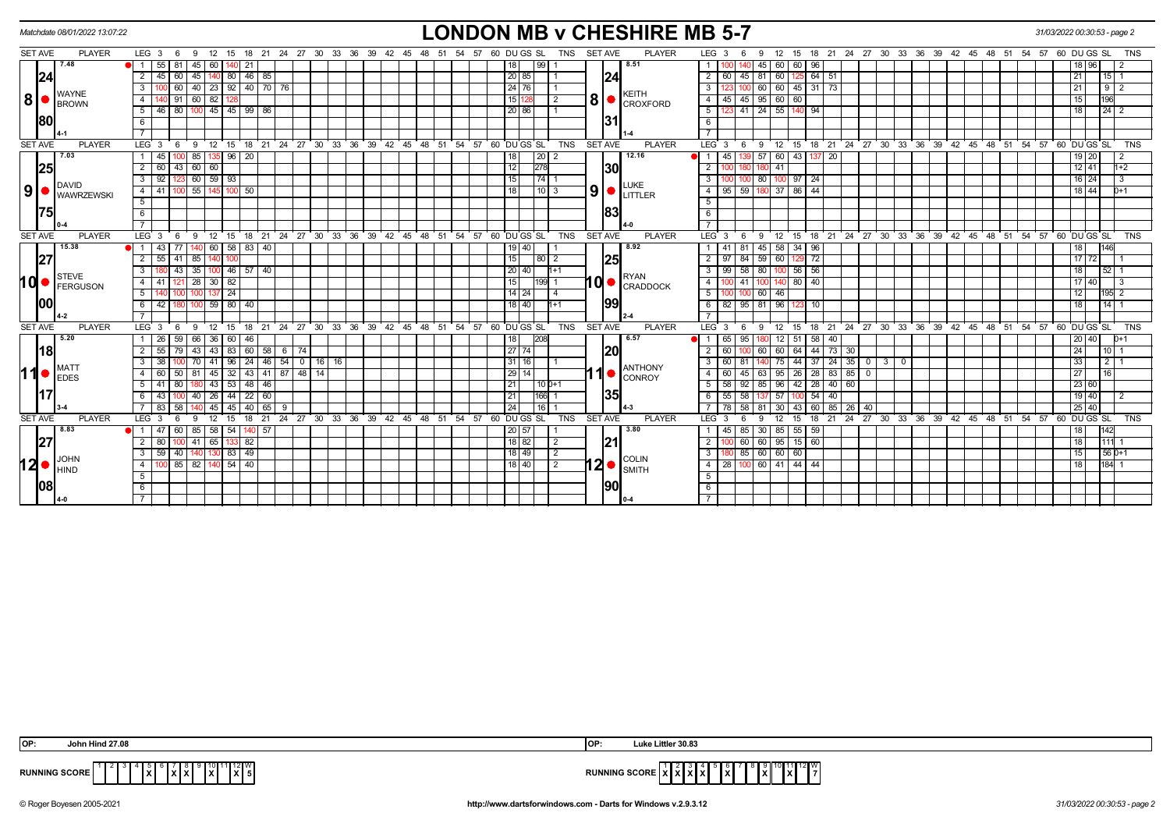|                | Matchdate 08/01/2022 13:07:22        |                                                                                                             | <b>LONDON MB v CHESHIRE MB 5-7</b>                                                                                                                           | 31/03/2022 00:30:53 - page 2 |
|----------------|--------------------------------------|-------------------------------------------------------------------------------------------------------------|--------------------------------------------------------------------------------------------------------------------------------------------------------------|------------------------------|
| <b>SET AVE</b> | <b>PLAYER</b>                        | LEG 3 6 9<br>12 15 18 21 24 27 30 33 36 39 42 45 48 51 54 57 60 DUGS SL                                     | <b>SET AVE</b><br><b>PLAYER</b><br>12  15  18  21  24  27  30  33  36  39  42  45  48  51  54  57  60  DU GS  SL<br>TNS<br>LEG 3<br>- 6<br>-9                | TNS                          |
|                | 7.48                                 | 55 81<br>45<br>- 60 I<br>21                                                                                 | 8.51<br>60 60<br>99  <br>45 I<br>96                                                                                                                          | 18 96                        |
|                | 24                                   | 46 85<br>45<br>60<br>45<br>80 <sup>1</sup><br>$\overline{2}$                                                | 24 <br>60<br>$64$ 51<br>20 85<br>$\overline{2}$<br>45<br>60<br>81                                                                                            | 21<br>15                     |
|                |                                      | 40 23 92 40 70 76<br>60<br>3                                                                                | 24   76  <br>3 <sup>1</sup>                                                                                                                                  | 21<br>$9 \mid 2$             |
| 8              | <b>WAYNE</b><br><b>BROWN</b>         | 60<br>82<br>$\overline{4}$<br>91                                                                            | <b>KEITH</b><br>$\left  8 \right $ $\bullet$ $\left  \text{croxford} \right $<br>45 95 60 60<br>15 1<br>$\overline{4}$<br>$\overline{2}$<br>45               | 196<br>15                    |
|                |                                      | 46 80 100 45 45 99 86<br>5                                                                                  | 41 24 55 140 94<br>$5\vert$<br>20   86                                                                                                                       | 18<br>$24$ 2                 |
| 180            |                                      | 6                                                                                                           | 31<br>6                                                                                                                                                      |                              |
|                |                                      | $\overline{7}$                                                                                              | <b>7</b>                                                                                                                                                     |                              |
| <b>SET AVE</b> | <b>PLAYER</b>                        | 12 15 18 21 24 27 30 33 36 39 42 45 48 51 54 57 60 DUGS SL<br>LEG 3<br>6<br>- 9                             | <b>PLAYER</b><br>12 15 18 21 24 27 30 33 36 39 42 45 48 51 54 57 60 DUGS SL<br><b>TNS</b><br><b>SET AVE</b><br>LEG <sup>3</sup><br>9<br>- 6                  | <b>TNS</b>                   |
|                | 7.03                                 | 135 96 20<br>45<br>85                                                                                       | 12.16<br>57 60 43 137 20<br>18<br>$\vert 20 \vert 2$<br>$\bullet$ 1<br>45                                                                                    | 19 20<br>$\overline{2}$      |
|                | 25                                   | $\overline{2}$<br>60<br>$60$ 60<br>43                                                                       | <b>130</b><br>12<br>278<br>$\overline{2}$<br>41                                                                                                              | $12$ 41<br>$1+2$             |
|                |                                      | 92<br>60<br>$59 \mid 93$<br>3                                                                               | 74<br>100 97<br>15<br>$\overline{3}$<br>80<br>24                                                                                                             | 16 24                        |
| 9 <sup>1</sup> | <b>IDAVID</b><br><b>I</b> WAWRZEWSKI | $100$ 55<br>145 100 50<br>41 I<br>4                                                                         | <b>LUKE</b><br>$\vert 9 \vert$ $\bullet$ $\vert_{\text{LITLER}}$<br>59 180 37 86<br>18<br>$101$ 3<br>44<br>4   95                                            | 18 44<br>0+1                 |
|                |                                      | 5                                                                                                           | 5                                                                                                                                                            |                              |
|                | 75                                   | 6                                                                                                           | <b>83</b><br>6                                                                                                                                               |                              |
|                |                                      |                                                                                                             | $\overline{7}$                                                                                                                                               |                              |
| <b>SET AVE</b> | <b>PLAYER</b>                        | 18 21 24 27 30 33 36 39 42 45 48 51 54 57 60 DUGS SL<br>LEG <sub>3</sub><br>່ 12 ່ 15<br><b>9</b><br>- 6    | <b>SET AVE</b><br>15 18 21 24 27 30 33 36 39 42 45 48 51 54 57 60 DUGS SL<br><b>TNS</b><br><b>PLAYER</b><br>LEG <sup>3</sup><br>12<br>່ 9<br>6               | <b>TNS</b>                   |
|                | 15.38                                | $60$ 58 83 40<br>43 I<br>77                                                                                 | 8.92<br>$58 \mid 34$<br>81<br>45<br>96<br>19140                                                                                                              | 18<br>146                    |
|                | 27                                   | $\overline{2}$<br>$55 \mid 41$<br>85                                                                        | 25<br>15<br>2   97   84   59   60   129   72<br>$80$   2                                                                                                     | 17 72                        |
|                | STEVE                                | 35<br>100 46 57 40<br>43                                                                                    | 58 80<br>$20$ 40<br>99<br>$100$ 56 56<br>$h+1$<br>3 I<br><b>RYAN</b>                                                                                         | 18<br>52 <sub>1</sub>        |
| hd∙            | <b>FERGUSON</b>                      | 28<br>$30 \mid 82$<br>$\overline{4}$<br>41 I<br>121                                                         | $10$ $\bullet$ $\left  \begin{smallmatrix} 61711 \\ CRADDOCK \end{smallmatrix} \right $<br>15<br>$199$ 1<br>41<br>140 80<br>4<br>100 <sup>1</sup><br>40      | 17140<br>3                   |
|                |                                      | $137$ 24<br>5                                                                                               | $14$   24<br>$5 \mid$<br>$100$ 60<br>46<br>$\overline{4}$                                                                                                    | 12<br>$195$ 2                |
|                |                                      | $59$ 80 40<br>42<br>6                                                                                       | 99 <br>18 40 <br>82<br>95 81 96<br>-6 I<br>$H+1$<br>10                                                                                                       | 18<br>$14$ 1                 |
|                |                                      |                                                                                                             |                                                                                                                                                              |                              |
| <b>SET AVE</b> | <b>PLAYER</b>                        | 24 27 30 33 36 39 42 45 48 51 54 57 60 DUGS SL<br>LEG <sub>3</sub><br>$12 \quad 15$<br>18<br>- 6<br>9<br>21 | <b>TNS</b><br><b>SET AVE</b><br><b>PLAYER</b><br>LEG <sup>3</sup><br>18 21 24 27 30 33 36 39 42 45 48 51 54 57 60 DUGS SL<br>12<br>9<br>15<br>-6             | <b>TNS</b>                   |
|                | 5.20                                 | 26 59<br>36 60<br>66<br>46                                                                                  | 6.57<br>208<br>65<br>18<br>95<br>$12$ 51<br>58<br>l 40                                                                                                       | 20 40<br>0+1                 |
|                | 18                                   | $\overline{2}$<br>43<br>$43 \mid 83 \mid$<br>60<br>$58$ 6 74<br>55 I<br>79                                  | 20<br>60 64<br>44 73<br>27 74<br>$\overline{2}$<br>60<br>60<br>30                                                                                            | 24<br>10 <sub>l</sub>        |
|                | MAT1                                 | 41   96   24   46   54   0  <br>3<br>38 <sup>1</sup><br>16   16<br>$\cdot$ 70 $\cdot$                       | 37 24 35 0 3 0<br>$75$ 44<br>31   16  <br>3 I<br>60 l<br>81<br><b>ANTHONY</b>                                                                                | 33<br>$2 \mid 1$             |
| 11             | <b>IEDES</b>                         | 43 41 87 48<br>$45 \mid 32$<br>$\overline{4}$<br>60<br>50<br>81                                             | $11$ $\circ$ $\circ$ $\circ$ $\circ$ $\circ$ $\circ$<br>85<br>29 14<br>45<br>$95 \mid 26$<br>28<br>$\overline{4}$<br>60<br>63<br>  83                        | 27<br>16                     |
|                |                                      | 43 53 48 46<br>5<br>41 80                                                                                   | $5$ 58 92 85 96 42 28 40 60<br>211<br>$10D+1$                                                                                                                | 23 60                        |
|                | <u>117</u>                           | 22 60<br>40<br>$26 \mid 44 \mid$<br>43                                                                      | 35<br>$166$ 1<br>58<br>21<br>$6 \mid 55$<br>57<br>54<br>40<br>100                                                                                            | $19$ 40<br>2                 |
|                |                                      | 83 58<br>45 45 40 65<br>$\overline{7}$<br>-9                                                                | 24<br>$16$   1<br>$58$ 81<br>$30 \quad 43$<br>$60$ 85<br>$26 \mid 40$<br>7   78                                                                              | 25 40                        |
| <b>SET AVE</b> | <b>PLAYER</b>                        | 12<br>21 24 27 30 33 36 39 42 45<br>LEG 3<br>- 6<br>15<br>18                                                | 60 DU GS SL<br><b>TNS</b><br><b>SET AVE</b><br><b>PLAYER</b><br>18 21 24 27 30 33 36 39 42 45 48 51 54<br>48<br>51 54<br>57<br>LEG 3<br>-9<br>12<br>15<br>-6 | 57<br>60 DU GS SL<br>TNS     |
|                | 8.83                                 | $58 \mid 54$<br>57<br>47 I<br>60<br>85<br>DI 1                                                              | 3.80<br>55<br>20 57<br>45<br>85<br>  30  <br>85<br>-59                                                                                                       | 142<br>18                    |
|                | 27                                   | 100 41 65 133 82<br>2<br>-80 I                                                                              | 21<br>18 82 <br>2<br>60 60 95 15 60<br>$\overline{2}$                                                                                                        | 11111<br>18                  |
|                | <b>JOHN</b>                          | 130 83 49<br>59<br>40   140<br>3                                                                            | 85 60 60 60<br>$\overline{2}$<br>$\overline{\phantom{a}3}$<br>18 49<br><b>COLIN</b>                                                                          | $56D+1$<br>15                |
| 12 <sup></sup> | <b>HIND</b>                          | 100 85 82 140 54 40<br>4                                                                                    | $12 \bullet  _{\text{SMITH}}^{\text{CULIN}}$<br>18 40 1<br>$\sqrt{2}$<br>4   28   100   60   41   44   44                                                    | $184$ 1<br>18 <sup>1</sup>   |
|                |                                      | 5                                                                                                           | 5                                                                                                                                                            |                              |
|                | 1081                                 | 6                                                                                                           | 90<br>6                                                                                                                                                      |                              |
|                |                                      | $\overline{7}$                                                                                              | $\overline{7}$                                                                                                                                               |                              |

| <b>OP:</b> | Hind 27.08<br>تطما                                                                | tler 30.83:<br><b>OP</b><br>uke '                                                                                              |  |
|------------|-----------------------------------------------------------------------------------|--------------------------------------------------------------------------------------------------------------------------------|--|
| RUNNI      | 12 I W<br><b>SCORE</b><br>.<br>INLS<br>^ I ^<br><b>IAIJI</b><br>.<br>$\mathbf{A}$ | ′∎ vv<br><b>RUNNING SCORE</b><br>.<br>$\overline{\phantom{a}}$<br>www.oconc<br>8 A I<br>. .<br>. .<br>$\overline{\phantom{a}}$ |  |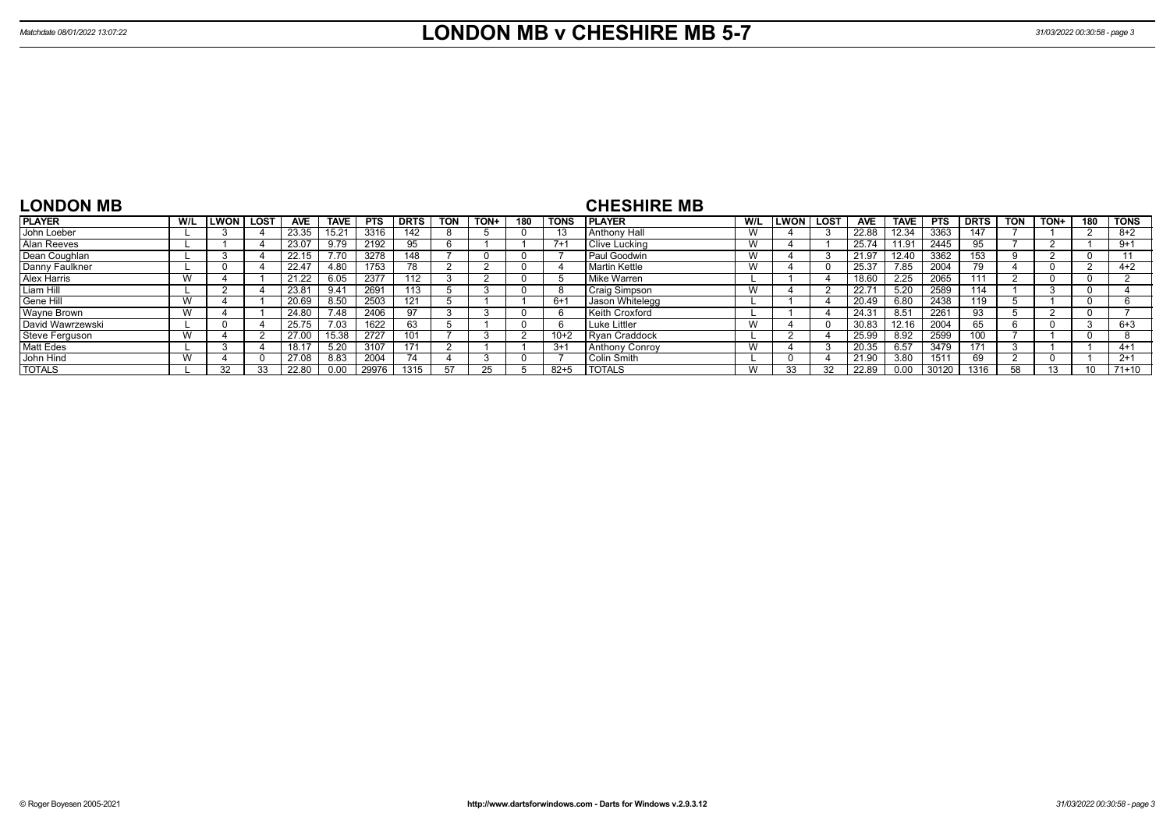| <b>LONDON MB</b> |     |             |             |            |             |            |                 |            |      |     |             | <b>CHESHIRE MB</b>    |           |        |             |                |             |            |             |     |      |     |             |
|------------------|-----|-------------|-------------|------------|-------------|------------|-----------------|------------|------|-----|-------------|-----------------------|-----------|--------|-------------|----------------|-------------|------------|-------------|-----|------|-----|-------------|
| <b>PLAYER</b>    | W/L | <b>LWON</b> | <b>LOST</b> | <b>AVE</b> | <b>TAVE</b> | <b>PTS</b> | <b>DRTS</b>     | <b>TON</b> | TON+ | 180 | <b>TONS</b> | <b>IPLAYER</b>        | W/L       | LWON l | <b>LOST</b> | <b>AVE</b>     | <b>TAVE</b> | <b>PTS</b> | <b>DRTS</b> | TON | TON+ | 180 | <b>TONS</b> |
| John Loeber      |     |             |             | 23.35      | 15.21       | 3316       | 142             |            |      |     | 13          | <b>LAnthony Hall</b>  | W         |        |             | 22.88          | 12.34       | 3363       | 147         |     |      |     | $8 + 2$     |
| Alan Reeves      |     |             |             | 23.07      | 9.79        | 2192       | 95              |            |      |     | $7 + 1$     | Clive Lucking         | v v       |        |             | 25.74          | 11.91       | 2445       | 95          |     |      |     | $9+1$       |
| Dean Coughlan    |     |             |             | 22.15      | 7.70        | 3278       | 148             |            |      |     |             | Paul Goodwin          | V V       |        |             |                | 12.40       | 3362       | 153         |     |      |     |             |
| Danny Faulkner   |     |             |             | 22.47      | 4.80        | 1753       | 78              |            |      |     |             | Martin Kettle         | v v       |        |             | 25.37          | 7.85        | 2004       | 79          |     |      |     | $4+2$       |
| Alex Harris      | W   |             |             | 21.22      | 6.05        | 2377       | 112             |            |      |     |             | Mike Warren           |           |        |             | 18.60          | 2.25        | 2065       |             |     |      |     |             |
| Liam Hill        |     |             |             | 23.8       | 9.41        | 2691       | 113             |            |      |     |             | Craig Simpson         | V V       |        |             | 22.7           | 5.20        | 2589       | 114         |     |      |     |             |
| Gene Hill        | W   |             |             | 20.69      | 8.50        | 2503       | 121             |            |      |     | $6+1$       | Jason Whitelegg       |           |        |             | 20.49          | 6.80        | 2438       | 119         |     |      |     |             |
| Wayne Brown      | W   |             |             | 24.80      | 7.48        | 2406       |                 |            |      |     |             | <b>Keith Croxford</b> |           |        |             | $24.3^{\circ}$ | 8.51        | 2261       | 93          |     |      |     |             |
| David Wawrzewski |     | -0          |             | 25.75      | 7.03        | 1622       | 63              |            |      |     |             | Luke Littler          | v v       |        |             | 30.83          | 12.16       | 2004       | 65.         | 'n  |      |     | $6 + 3$     |
| Steve Ferguson   | W   |             |             | 27.00      | 15.38       | 2727       | 101             |            |      |     | $10+2$      | <b>Rvan Craddock</b>  |           |        |             | 25.99          | 8.92        | 2599       | 100         |     |      |     |             |
| <b>Matt Edes</b> |     |             |             |            | 5.20        | 3107       | 17 <sup>4</sup> |            |      |     | $3+1$       | <b>Anthony Conroy</b> | <b>VV</b> |        |             | 20.35          | 6.57        | 3479       | 171         |     |      |     | $4+1$       |
| John Hind        | W   |             |             | 27.08      | 8.83        | 2004       | 74              |            |      |     |             | Colin Smith           |           |        |             | 21.90          | 3.80        | 1511       | 69          | r.  |      |     | $2+1$       |
| <b>TOTALS</b>    |     | 32          |             | 22.80      | 0.00        | 29976      | 1315            | 57         |      |     | $82 + 5$    | <b>TOTALS</b>         |           |        |             | 22.89          | 0.00        | 30120      | 1316        | 58  |      |     | 71+10       |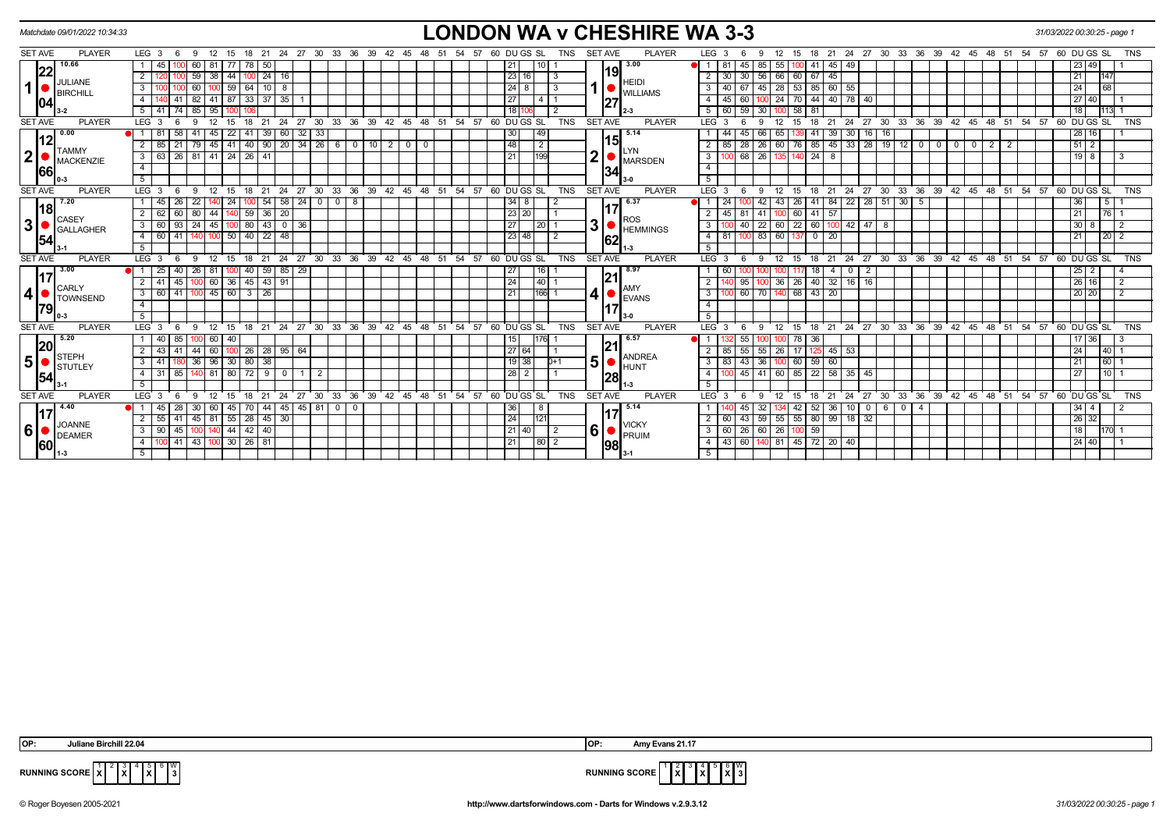|                         | Matchdate 09/01/2022 10:34:33 |                                                                                                               | <b>LONDON WA v CHESHIRE WA 3-3</b>                     |                                         |                                                                                                                                                                                                                                                                                                                                                                                                                                                                                                                                                     | 31/03/2022 00:30:25 - page 1       |
|-------------------------|-------------------------------|---------------------------------------------------------------------------------------------------------------|--------------------------------------------------------|-----------------------------------------|-----------------------------------------------------------------------------------------------------------------------------------------------------------------------------------------------------------------------------------------------------------------------------------------------------------------------------------------------------------------------------------------------------------------------------------------------------------------------------------------------------------------------------------------------------|------------------------------------|
| <b>SET AVE</b>          | <b>PLAYER</b>                 | LEG <sub>3</sub><br>21<br>27 30<br>33<br>36<br>39<br>-24<br>- 6<br>-9<br>18                                   | 60 DU GS SL<br>42<br>TNS<br>48<br>57<br>- 45           | <b>PLAYER</b><br><b>SET AVE</b>         | LEG <sub>3</sub><br>24<br>27 30 33 36<br>39 42 45<br>18<br>-21<br>48<br>-51<br>-54<br>15                                                                                                                                                                                                                                                                                                                                                                                                                                                            | 60 DU GS SL<br>57<br>TNS           |
|                         | 10.66                         | 60<br>78<br>50                                                                                                |                                                        | 13.00                                   | 45<br>85<br>41<br>45 I<br>49                                                                                                                                                                                                                                                                                                                                                                                                                                                                                                                        | 49                                 |
|                         | 22 <br>JULIANE                | 59<br>38<br>$100$ 24 16<br>$\overline{2}$<br>$-44$                                                            | 23 16                                                  | 19 <br><b>HEIDI</b>                     | 56 66 60 67 45<br>$\sqrt{30}$                                                                                                                                                                                                                                                                                                                                                                                                                                                                                                                       | 147<br>21 <sub>1</sub>             |
|                         | <b>BIRCHILL</b>               | 60<br> 59 64<br>$\mathbf{3}$<br>$\vert$ 10<br>8                                                               | $24$ 8                                                 | <b>WILLIAMS</b>                         | 45   28   53   85   60   55<br>67<br>3                                                                                                                                                                                                                                                                                                                                                                                                                                                                                                              | 68                                 |
|                         | 1041                          | 35<br>82<br>87 33 37<br>41                                                                                    | 27                                                     | 27                                      | 70<br>$\sqrt{44}$<br>40 78 40<br>60<br>-24                                                                                                                                                                                                                                                                                                                                                                                                                                                                                                          | 27 40                              |
|                         |                               | 85<br>95<br>5                                                                                                 |                                                        |                                         | 59<br>58<br>81<br>30                                                                                                                                                                                                                                                                                                                                                                                                                                                                                                                                |                                    |
| <b>SET AVE</b>          | <b>PLAYER</b>                 | 30<br><b>LEG</b><br>12<br>18<br>$^{\circ}$ 21<br>24<br>$^{\circ}$ 27<br>-9<br>15<br>3<br>- 6                  | 33 36 39 42 45 48 51 54 57 60 DUGS SL<br><b>TNS</b>    | <b>SET AVE</b><br><b>PLAYER</b>         | 30 33 36 39 42 45 48 51 54 57 60 DUGS SL<br>15<br>18<br>$^{\degree}$ 24<br>27<br>LEG <sup>3</sup><br>12<br>21                                                                                                                                                                                                                                                                                                                                                                                                                                       | <b>TNS</b>                         |
|                         | 0.00<br>12                    | 60 32<br>33<br>45<br>$41 \mid 39$<br>41<br> 22                                                                | 49<br>30 <sub>l</sub>                                  | 5.14                                    | 39 30 16 16<br>66 l<br>41<br>45<br>65                                                                                                                                                                                                                                                                                                                                                                                                                                                                                                               | 28 16                              |
|                         | <b>TAMMY</b>                  | $201342660101200$<br>40   90<br>$\overline{2}$<br>45<br>85<br>79<br>41 I                                      | 48<br>$\overline{2}$                                   | 15<br><b>YN</b>                         | $45 \mid 33 \mid 28 \mid 19 \mid 12 \mid 0$<br>85<br>28<br>76<br>$\begin{array}{c c c c c c c c} \hline \multicolumn{3}{c }{\textbf{0}} & \multicolumn{3}{c }{\textbf{0}} & \multicolumn{3}{c }{\textbf{0}} \\ \hline \multicolumn{3}{c }{\textbf{0}} & \multicolumn{3}{c }{\textbf{0}} & \multicolumn{3}{c }{\textbf{0}} & \multicolumn{3}{c }{\textbf{0}} \\ \hline \multicolumn{3}{c }{\textbf{0}} & \multicolumn{3}{c }{\textbf{0}} & \multicolumn{3}{c }{\textbf{0}} & \multicolumn{3}{c }{\textbf{0}} \\ \hline$<br>$\overline{2}$<br>26<br>2 | $51$ 2                             |
| $\mathbf{2}$            | <b>MACKENZIE</b>              | 63   26   81   41   24   26   41<br>$\mathbf{3}$                                                              | 199<br> 21                                             | ◠<br><b>MARSDEN</b>                     | $\overline{24}$<br>68<br>26<br>140<br>$\overline{8}$<br>$\mathbf{3}$                                                                                                                                                                                                                                                                                                                                                                                                                                                                                | $19$ 8<br>3                        |
|                         | 66                            | $\overline{4}$                                                                                                |                                                        | 34                                      | $\overline{4}$                                                                                                                                                                                                                                                                                                                                                                                                                                                                                                                                      |                                    |
|                         |                               | 5 <sup>5</sup>                                                                                                |                                                        |                                         | 5 <sup>5</sup>                                                                                                                                                                                                                                                                                                                                                                                                                                                                                                                                      |                                    |
| <b>SET AVE</b>          | <b>PLAYER</b>                 | LEG <sub>3</sub><br>21<br>12<br>15<br>18<br>- 6<br>- 9                                                        | 24 27 30 33 36 39 42 45 48 51 54 57 60 DUGS SL<br>TNS  | <b>SET AVE</b><br><b>PLAYER</b>         | LEG 3<br>24 27 30 33 36 39 42 45 48 51 54 57 60 DUGS SL<br>18 21<br>12<br>15<br>-9                                                                                                                                                                                                                                                                                                                                                                                                                                                                  | <b>TNS</b>                         |
|                         | 7.20<br><u> 18</u>            | 58 24<br>22<br>54<br>$\mathbf 0$<br>- 8<br>45<br>0 <sub>1</sub><br>-26                                        | 34 8                                                   | 6.37                                    | 22   28   51   30  <br>26<br>41<br>84<br>5<br>43 I                                                                                                                                                                                                                                                                                                                                                                                                                                                                                                  | $\overline{5}$<br>36               |
|                         | <b>CASEY</b>                  | 2<br>80<br>140 59 36<br><b>20</b><br>44                                                                       | 23 20                                                  | <b>ROS</b>                              | $100$ 60 41 57<br>45   81<br>-41                                                                                                                                                                                                                                                                                                                                                                                                                                                                                                                    | 21<br>76 1                         |
| $\overline{\mathbf{3}}$ | <b>GALLAGHER</b>              | $\mathbf{3}$<br>60 93<br>24<br>45<br>80<br>43<br>0 36                                                         | 27<br><b>20</b>                                        | 3<br><b>HEMMINGS</b>                    | 22 60<br>$100 \mid 42 \mid 47 \mid 8$<br>$22 \mid$<br>60 I<br>40                                                                                                                                                                                                                                                                                                                                                                                                                                                                                    | 30 <sup>1</sup>                    |
|                         | 54                            | 60 41<br>50 40 22<br>$\overline{4}$<br>48<br>140                                                              | 23 48<br>-2                                            | 62                                      | 83 60<br>137<br>$^{\circ}$<br>l 20 l<br>$\overline{4}$                                                                                                                                                                                                                                                                                                                                                                                                                                                                                              | 20 <sup>2</sup><br>21 <sup>1</sup> |
|                         |                               | 5                                                                                                             |                                                        |                                         |                                                                                                                                                                                                                                                                                                                                                                                                                                                                                                                                                     |                                    |
| <b>SET AVE</b>          | <b>PLAYER</b>                 | $30^{\circ}$<br>$33 \quad 36 \quad 39 \quad 42 \quad 45 \quad 48$<br>LEG <sup>1</sup><br>21<br>24<br>27<br>18 | 51 54 57 60 DU GS SL<br><b>TNS</b>                     | <b>SET AVE</b><br><b>PLAYER</b>         | 30 33 36 39 42 45 48 51 54<br>LEG 3<br>24<br>27<br>18<br>21<br>15                                                                                                                                                                                                                                                                                                                                                                                                                                                                                   | 57<br>60 DU GS SL<br><b>TNS</b>    |
|                         | 3.00                          | 59<br>85 29<br>26<br>40                                                                                       | 16                                                     | 18.97<br> 21                            |                                                                                                                                                                                                                                                                                                                                                                                                                                                                                                                                                     |                                    |
|                         | <b>CARLY</b>                  | $-45$ $-43$ 91<br>$60$ 36<br>$\overline{2}$<br>100                                                            | 24<br> 40                                              | AMY                                     | 26<br> 40 <br>$32$   16   16<br>95<br>36                                                                                                                                                                                                                                                                                                                                                                                                                                                                                                            | $26 \mid 16$<br>$\overline{2}$     |
| $\vert 4 \vert$         | <b>TOWNSEND</b>               | $45$ 60<br>3 <sup>1</sup><br>$3 \mid 26$<br>60 41<br>100                                                      | 166 1<br>21                                            | 4<br><b>EVANS</b>                       | 60<br>70 140 68 43<br>$\sqrt{20}$<br>3                                                                                                                                                                                                                                                                                                                                                                                                                                                                                                              | 20 20                              |
|                         | 79                            | $\overline{4}$                                                                                                |                                                        |                                         | 4                                                                                                                                                                                                                                                                                                                                                                                                                                                                                                                                                   |                                    |
|                         |                               | $5\overline{)}$                                                                                               |                                                        |                                         |                                                                                                                                                                                                                                                                                                                                                                                                                                                                                                                                                     |                                    |
| <b>SET AVE</b>          | <b>PLAYER</b><br>5.20         | 12 15 18 21 24 27 30 33 36 39 42 45 48 51 54 57 60 DUGS SL<br>LEG <sub>3</sub><br>- 9<br>- 6                  | <b>TNS</b>                                             | <b>SET AVE</b><br><b>PLAYER</b><br>6.57 | 18 21 24 27 30 33 36 39 42 45 48 51 54 57 60 DUGS SL<br>LEG <sub>3</sub><br>12 15<br>- 6<br>9                                                                                                                                                                                                                                                                                                                                                                                                                                                       | TNS                                |
|                         | 20                            | 40<br>- 85<br>60<br>-40                                                                                       | 15 I<br>176I                                           | 121                                     | 55<br>78 36                                                                                                                                                                                                                                                                                                                                                                                                                                                                                                                                         | 17 36 1                            |
|                         | STEPH                         | 60<br>$128$ 95 64<br>44<br>$100$ 26<br>2                                                                      | 27 64                                                  | <b>ANDREA</b>                           | 55<br>$55 \mid 26$<br>$45 \mid 53$<br>17<br>125                                                                                                                                                                                                                                                                                                                                                                                                                                                                                                     | $40-1$<br>24 <sup>1</sup>          |
| 5                       | <b>I</b> stutley              | 96<br>30 80 38<br>36<br>$\mathbf{3}$                                                                          | $19$ 38<br>IO+1                                        | 5<br><b>HUNT</b>                        | 60<br>59<br>$\sqrt{43}$<br>36 I<br>$\sqrt{60}$<br>3                                                                                                                                                                                                                                                                                                                                                                                                                                                                                                 | $60-1$<br>21<br>$110$ 1            |
|                         | 54                            | $80$ $72$<br>4 I<br>$31 \ 85$<br>81<br>$\sqrt{9}$<br>$\overline{0}$<br>$\overline{2}$<br>140                  | $\sqrt{28}$ 2                                          | 28                                      | 45 41 60 85 22<br>58 35 45<br>$\overline{4}$<br>5                                                                                                                                                                                                                                                                                                                                                                                                                                                                                                   | 27 <sup>1</sup>                    |
| <b>SET AVE</b>          | <b>PLAYER</b>                 | 5<br>LEG <sub>3</sub><br>12<br>15<br>18<br>21<br>24<br>$^{\circ}$ 27<br>- 6<br>- 9                            | 30 33 36 39 42 45 48 51 54 57 60 DUGS SL<br><b>TNS</b> | <b>SET AVE</b><br><b>PLAYER</b>         | 27 30 33 36 39 42 45 48 51 54 57 60 DUGS SL<br>LEG <sup>3</sup><br>12<br>15<br>18<br>21<br>24<br>- 6<br>-9                                                                                                                                                                                                                                                                                                                                                                                                                                          | TNS                                |
|                         | 4.40                          | 45 45 81 0<br>70   44  <br>$\overline{0}$<br>l 28<br>-30 I<br>60  <br>l 45 I                                  | 36                                                     | 15.14                                   | 36<br>$10$ 0<br>42<br>52<br>60<br>32<br>-4<br>45                                                                                                                                                                                                                                                                                                                                                                                                                                                                                                    | $34$   4                           |
|                         | 117                           | 55   41   45   81   55   28   45   30  <br>$\overline{2}$                                                     | -8<br>24<br>121                                        | 117                                     | 59 55 55 80 99 18 32<br>60 43<br>2                                                                                                                                                                                                                                                                                                                                                                                                                                                                                                                  | 26 32                              |
| 6                       | <b>JOANNE</b>                 | $140$ 44 42 40<br>90 45 100<br>3 <sup>1</sup>                                                                 | 21   40<br>$\overline{2}$                              | <b>VICKY</b>                            | 100 59<br>3   60   26<br>60 26                                                                                                                                                                                                                                                                                                                                                                                                                                                                                                                      | 18<br>170                          |
|                         | DEAMER                        | $141$ 43 100 30 26 81<br>$\overline{4}$                                                                       | 21 <br> 80 2                                           | 6<br>PRUIM                              | 43   60<br>140 81 45 72 20 40                                                                                                                                                                                                                                                                                                                                                                                                                                                                                                                       | 24 40                              |
|                         | <b>60</b>                     | 5                                                                                                             |                                                        | 98                                      |                                                                                                                                                                                                                                                                                                                                                                                                                                                                                                                                                     |                                    |
|                         |                               |                                                                                                               |                                                        |                                         |                                                                                                                                                                                                                                                                                                                                                                                                                                                                                                                                                     |                                    |

**X** 5 **X**  $6 \frac{W}{3}$ 



**RUNNING SCORE**  $\begin{bmatrix} 1 & 2 & 3 \ 1 & 2 & 3 \end{bmatrix}$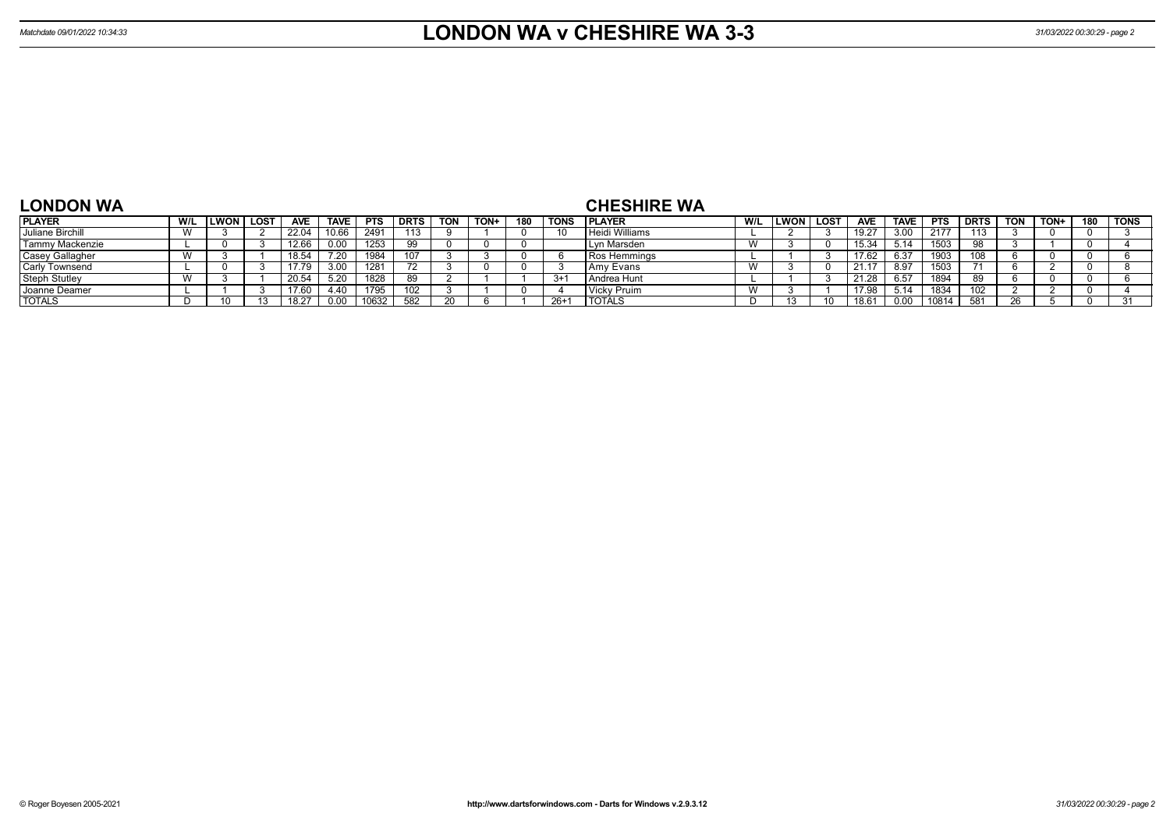| <b>LONDON WA</b> |     |                    |             |            |             |            |             |            |      |     |                | <b>CHESHIRE WA</b> |                        |              |      |                |             |             |             |            |      |     |             |
|------------------|-----|--------------------|-------------|------------|-------------|------------|-------------|------------|------|-----|----------------|--------------------|------------------------|--------------|------|----------------|-------------|-------------|-------------|------------|------|-----|-------------|
| <b>PLAYER</b>    | W/L | <b>IMM</b><br>LWUN | <b>LOST</b> | <b>AVE</b> | <b>TAVE</b> | <b>PTS</b> | <b>DRTS</b> | <b>TON</b> | TON+ | 180 | ' TONS         | <b>IPLAYER</b>     | W/L                    | <b>ILWON</b> | LOST | <b>AVE</b>     | <b>TAVE</b> | <b>PTS</b>  | <b>DRTS</b> | <b>TON</b> | TON+ | 180 | <b>TONS</b> |
| Juliane Birchill | W   |                    |             | 22.04      | 10.6        | 2491       | 440         |            |      |     | $\overline{A}$ | Heidi Williams     |                        |              |      | 19.27          | 3.00        | 2177        | 113         |            |      |     |             |
| Tammy Mackenzie  |     |                    |             | 12.66      | 0.00        | 1253       | - QQ        |            |      |     |                | ı Marsden<br>∴∟Vr  | $\lambda$<br><b>VV</b> |              |      | 15.31<br>יט.טו | 5.14        | 1503<br>טשו | $\Omega$    |            |      |     |             |

| Juliane Birchill     |  | 22.04 | 10.66       | 2491  | 112 |    |  |       | Heidi Williams       |                             |  | ے. ت  | 3.00           | 2177  | 113 |  |  |
|----------------------|--|-------|-------------|-------|-----|----|--|-------|----------------------|-----------------------------|--|-------|----------------|-------|-----|--|--|
| Tammy Mackenzie      |  | 12.66 | 0.00        | 1253  | QQ  |    |  |       | l Lyn Marsden        | M<br><b>VV</b>              |  |       | $-14$<br>ັບ. ເ | 1503  |     |  |  |
| Casey Gallagher      |  | 18.54 | <b>7 20</b> | 1984  | 107 |    |  |       | <b>IRos Hemmings</b> |                             |  |       | 6.37           | 1903  | 108 |  |  |
| Carly Townsend       |  | 17.79 | 3.00        | 1281  |     |    |  |       | I Amv Evans          | $\mathbf{M}$<br><b>VV</b>   |  | 21.17 | 8.97           | 1503. |     |  |  |
| <b>Steph Stutley</b> |  | 20.54 | 5.20        | 1826  | 89  |    |  | $3+1$ | I Andrea Hunt        |                             |  | 21.28 | 6.57           | 1894  | 89  |  |  |
| Joanne Deamer        |  | 17.60 | 4.40        | 1795  | 102 |    |  |       | Vicky Pruim          | $\overline{M}$<br><b>VV</b> |  |       | 5.14           | 1834  | 102 |  |  |
| <b>TOTALS</b>        |  | 18.27 | 0.00        | 10632 | 582 | 20 |  | $26+$ | <b>TOTALS</b>        |                             |  |       | 0.00           | 10814 | 581 |  |  |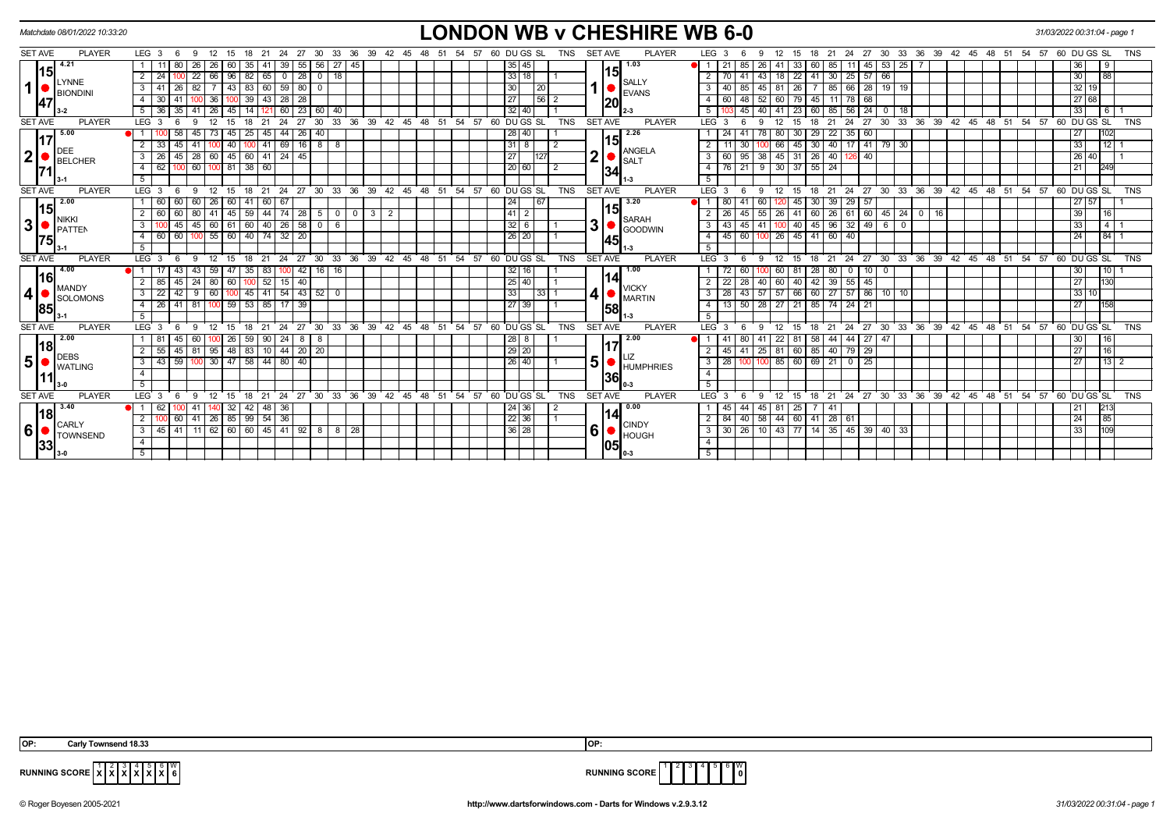| <b>SET AVE</b><br><b>PLAYER</b><br><b>SET AVE</b><br><b>PLAYER</b><br>LEG 3<br>27<br>30<br>33<br>36<br>39<br>60 DU GS SL<br><b>TNS</b><br>LEG <sub>3</sub><br>27<br>30<br>33<br>36<br>39 42<br>57 60 DU GS SL<br>9<br>12<br>21<br>24<br>42<br>45<br>12<br>21<br>- 24<br>45<br>48<br>51<br>54<br>15<br>18<br>48<br>-54<br>-57<br>15<br>18<br>1.03<br>4.21<br>26<br>39<br>35 45<br>85<br>26 <sup>1</sup><br>$11 \mid 45 \mid 53 \mid 25$<br>- 80<br>26<br>60<br>35<br>41<br>55 56<br>27 45<br>$\blacksquare$<br>21<br>41<br>33 I<br>85<br>36<br>l 9<br><sub>1</sub> 15<br>15 <sup>1</sup><br>33 18 <br>22<br>66   96   82   65   0   28   0   18  <br>70   41   43   18   22   41   30   25   57   66<br>30 <sub>o</sub><br> 88 <br>24<br><b>LYNNE</b><br><b>SALLY</b><br>$\mathbf{1}$<br> 43 83 60 59 80 0<br>45   81   26   7   85   66   28   19   19<br>$32$ 19<br>$\overline{3}$<br>82<br>30<br>26<br> 20 <br>85<br>41<br>3<br>40 I<br><b>EVANS</b><br><b>BIONDINI</b><br>27<br>100 39 43 28 28<br>$\overline{56}$   2<br>60   48   52   60   79   45   11   78   68<br>27 68<br> 36 <br>30 41<br>100<br>47<br> 20 <br>32 40<br>121 60 23 60 40<br>40<br>23 60 85 56 24 0 18<br>33<br>36<br>35<br>26<br>45<br>14<br>45<br>41<br>l 6 l<br>41<br><b>SET AVE</b><br><b>PLAYER</b><br>LEG <sub>3</sub><br>12<br>24<br>27<br>30<br>33 36 39 42 45 48 51 54 57 60 DUGS SL<br><b>TNS</b><br><b>SET AVE</b><br><b>PLAYER</b><br>$LEG^{\prime}$ 3<br>27<br>30 33 36 39 42 45 48 51 54 57 60 DUGS SL<br>15<br>18<br>21<br>12<br>15<br>18<br>21<br>- 24<br>- 6<br>9<br>-9 | <b>TNS</b><br><b>TNS</b> |
|-------------------------------------------------------------------------------------------------------------------------------------------------------------------------------------------------------------------------------------------------------------------------------------------------------------------------------------------------------------------------------------------------------------------------------------------------------------------------------------------------------------------------------------------------------------------------------------------------------------------------------------------------------------------------------------------------------------------------------------------------------------------------------------------------------------------------------------------------------------------------------------------------------------------------------------------------------------------------------------------------------------------------------------------------------------------------------------------------------------------------------------------------------------------------------------------------------------------------------------------------------------------------------------------------------------------------------------------------------------------------------------------------------------------------------------------------------------------------------------------------------------------------------------------------------------------|--------------------------|
|                                                                                                                                                                                                                                                                                                                                                                                                                                                                                                                                                                                                                                                                                                                                                                                                                                                                                                                                                                                                                                                                                                                                                                                                                                                                                                                                                                                                                                                                                                                                                                   |                          |
|                                                                                                                                                                                                                                                                                                                                                                                                                                                                                                                                                                                                                                                                                                                                                                                                                                                                                                                                                                                                                                                                                                                                                                                                                                                                                                                                                                                                                                                                                                                                                                   |                          |
|                                                                                                                                                                                                                                                                                                                                                                                                                                                                                                                                                                                                                                                                                                                                                                                                                                                                                                                                                                                                                                                                                                                                                                                                                                                                                                                                                                                                                                                                                                                                                                   |                          |
|                                                                                                                                                                                                                                                                                                                                                                                                                                                                                                                                                                                                                                                                                                                                                                                                                                                                                                                                                                                                                                                                                                                                                                                                                                                                                                                                                                                                                                                                                                                                                                   |                          |
|                                                                                                                                                                                                                                                                                                                                                                                                                                                                                                                                                                                                                                                                                                                                                                                                                                                                                                                                                                                                                                                                                                                                                                                                                                                                                                                                                                                                                                                                                                                                                                   |                          |
|                                                                                                                                                                                                                                                                                                                                                                                                                                                                                                                                                                                                                                                                                                                                                                                                                                                                                                                                                                                                                                                                                                                                                                                                                                                                                                                                                                                                                                                                                                                                                                   |                          |
|                                                                                                                                                                                                                                                                                                                                                                                                                                                                                                                                                                                                                                                                                                                                                                                                                                                                                                                                                                                                                                                                                                                                                                                                                                                                                                                                                                                                                                                                                                                                                                   |                          |
| 2.26<br>5.00<br>25<br>44 26 40<br>28 40<br>29<br>$\sqrt{22}$<br>27<br>$\overline{1}$<br>45<br>45<br>45<br>78<br>30 <sub>1</sub><br>35<br>60<br>80 I<br>117                                                                                                                                                                                                                                                                                                                                                                                                                                                                                                                                                                                                                                                                                                                                                                                                                                                                                                                                                                                                                                                                                                                                                                                                                                                                                                                                                                                                        |                          |
| 15<br>69<br>16<br>$31 \mid 8$<br>17 41 79 30<br>33<br>12<br>33<br>40<br>41<br>8<br>8<br>$\sqrt{2}$<br>$\overline{2}$<br>66<br>45<br>30<br>$\vert 40 \vert$<br>45<br>30<br>DEE                                                                                                                                                                                                                                                                                                                                                                                                                                                                                                                                                                                                                                                                                                                                                                                                                                                                                                                                                                                                                                                                                                                                                                                                                                                                                                                                                                                     |                          |
| <b>ANGELA</b><br>$\mathbf{2}$<br>$\overline{\mathbf{2}}$<br>60 45 60 41 24 45<br>27<br>95 38 45 31 26 40<br>26 40<br>$\overline{3}$<br> 28 <br>$\overline{3}$<br>$126$ 40<br>26<br>45<br> 127 <br>60<br>BELCHER<br><b>SALT</b>                                                                                                                                                                                                                                                                                                                                                                                                                                                                                                                                                                                                                                                                                                                                                                                                                                                                                                                                                                                                                                                                                                                                                                                                                                                                                                                                    |                          |
| $62$ 100 60 100 81 38 60<br>76 21 9 30 37 55 24<br>20 60 <br>21<br>$\overline{4}$<br>249<br>$\overline{4}$<br>$\overline{2}$<br>34                                                                                                                                                                                                                                                                                                                                                                                                                                                                                                                                                                                                                                                                                                                                                                                                                                                                                                                                                                                                                                                                                                                                                                                                                                                                                                                                                                                                                                |                          |
| $5\overline{5}$<br>5 <sup>5</sup>                                                                                                                                                                                                                                                                                                                                                                                                                                                                                                                                                                                                                                                                                                                                                                                                                                                                                                                                                                                                                                                                                                                                                                                                                                                                                                                                                                                                                                                                                                                                 |                          |
| 18 21 24 27 30 33 36 39 42 45 48 51 54 57 60 DUGS SL<br>18 21 24 27 30 33 36 39 42 45 48 51 54 57 60 DUGS SL<br><b>SET AVE</b><br><b>PLAYER</b><br><b>TNS</b><br><b>SET AVE</b><br><b>PLAYER</b><br>LEG <sub>3</sub><br>12<br>15<br>LEG <sub>3</sub><br>12<br>15<br>-9<br>-9                                                                                                                                                                                                                                                                                                                                                                                                                                                                                                                                                                                                                                                                                                                                                                                                                                                                                                                                                                                                                                                                                                                                                                                                                                                                                      | <b>TNS</b>               |
| $\vert 2.00 \vert$<br>3.20<br>27 57<br>24<br><b>67</b><br>$45$ 30 39<br>$29 \mid 57$<br>60<br>60<br>26   60   41  <br>  60   67<br>80 I<br>60<br>-60  <br>41                                                                                                                                                                                                                                                                                                                                                                                                                                                                                                                                                                                                                                                                                                                                                                                                                                                                                                                                                                                                                                                                                                                                                                                                                                                                                                                                                                                                      |                          |
| 15 <br>15<br> 41 2<br>  45   59   44   74   28   5   0   0   3   2<br>39<br>80<br>55<br>41 60 26 61 60 45 24 0 16<br>41<br>26<br>-26 1<br>16<br>45                                                                                                                                                                                                                                                                                                                                                                                                                                                                                                                                                                                                                                                                                                                                                                                                                                                                                                                                                                                                                                                                                                                                                                                                                                                                                                                                                                                                                |                          |
| NIKKI<br><b>SARAH</b><br>$\mathbf{3}$<br>3 <br>32 6<br>60 61 60 40 26 58 0 6<br>40 45   96   32   49   6   0<br>33<br>3<br>45<br>3<br>43<br>41<br>45<br>45<br>GOODWIN<br><b>IPATTEN</b>                                                                                                                                                                                                                                                                                                                                                                                                                                                                                                                                                                                                                                                                                                                                                                                                                                                                                                                                                                                                                                                                                                                                                                                                                                                                                                                                                                           | 4 <sup>1</sup>           |
| 55 60 40 74 32 20<br>26 20 <br>$45$ 60<br>45 41 60 40<br>60<br>60<br>26<br>24<br>84 <sub>1</sub><br>$\overline{4}$<br>$\overline{4}$<br>100<br>1751<br>145                                                                                                                                                                                                                                                                                                                                                                                                                                                                                                                                                                                                                                                                                                                                                                                                                                                                                                                                                                                                                                                                                                                                                                                                                                                                                                                                                                                                        |                          |
| -5<br>5                                                                                                                                                                                                                                                                                                                                                                                                                                                                                                                                                                                                                                                                                                                                                                                                                                                                                                                                                                                                                                                                                                                                                                                                                                                                                                                                                                                                                                                                                                                                                           |                          |
| 30 33 36 39 42 45 48 51 54 57 60 DUGS SL<br>30 33 36 39 42 45 48 51 54 57 60 DUGS SL<br><b>SET AVE</b><br><b>PLAYER</b><br>24<br>27<br><b>TNS</b><br><b>SET AVE</b><br><b>PLAYER</b><br>21<br>$^{\circ}$ 24<br>27<br>LEG <sub>3</sub><br>12<br>15<br>18<br>21<br><b>LEG</b><br>15<br>18<br>-3<br>Q                                                                                                                                                                                                                                                                                                                                                                                                                                                                                                                                                                                                                                                                                                                                                                                                                                                                                                                                                                                                                                                                                                                                                                                                                                                                | <b>TNS</b>               |
| 4.00<br>1.00<br>43<br>42 16 16<br>32 16<br>28 80<br>59<br>35<br>83<br>60<br>$0$ 10 0<br>30<br> 10 <br>47<br>60 I<br>-81 I                                                                                                                                                                                                                                                                                                                                                                                                                                                                                                                                                                                                                                                                                                                                                                                                                                                                                                                                                                                                                                                                                                                                                                                                                                                                                                                                                                                                                                         |                          |
| I161<br>141<br>$\boxed{25}$ 40<br>$100$ 52 15 40<br>40 42 39 55 45<br>27<br>24<br>28<br>40<br>130<br>85<br>45<br>80 60<br>22<br>60                                                                                                                                                                                                                                                                                                                                                                                                                                                                                                                                                                                                                                                                                                                                                                                                                                                                                                                                                                                                                                                                                                                                                                                                                                                                                                                                                                                                                                |                          |
| <b>MANDY</b><br><b>VICKY</b><br>4<br>4<br>33<br>  57   66   60   27   57   86   10   10<br>33 10<br>3<br>22<br> 33 1<br>$28$ 43 57<br>42<br>9<br>$\mathbf{3}$<br>SOLOMONS<br><b>MARTIN</b>                                                                                                                                                                                                                                                                                                                                                                                                                                                                                                                                                                                                                                                                                                                                                                                                                                                                                                                                                                                                                                                                                                                                                                                                                                                                                                                                                                        |                          |
| 27 39<br>100 59 53 85 17 39<br>13   50   28   27   21   85   74   24   21<br>27<br>26 41 81<br>158<br>4<br> 85 <br>58                                                                                                                                                                                                                                                                                                                                                                                                                                                                                                                                                                                                                                                                                                                                                                                                                                                                                                                                                                                                                                                                                                                                                                                                                                                                                                                                                                                                                                             |                          |
| -5                                                                                                                                                                                                                                                                                                                                                                                                                                                                                                                                                                                                                                                                                                                                                                                                                                                                                                                                                                                                                                                                                                                                                                                                                                                                                                                                                                                                                                                                                                                                                                |                          |
| <b>SET AVE</b><br><b>PLAYER</b><br>LEG <sub>3</sub><br>27 30<br>33 36 39 42 45<br>48<br>54<br>60 DU GS SL<br><b>TNS</b><br><b>SET AVE</b><br><b>PLAYER</b><br>$LEG^3$ 3<br>24<br>27 30 33 36 39 42 45<br>48 51<br>$-54$<br>57<br>60 DU GS SL<br>12<br>21<br>-24<br>51<br>57<br>12<br>15<br>18<br>21<br>9<br>15<br>18<br>-9                                                                                                                                                                                                                                                                                                                                                                                                                                                                                                                                                                                                                                                                                                                                                                                                                                                                                                                                                                                                                                                                                                                                                                                                                                        | TNS                      |
| 2.00<br>$28 \mid 8$<br>2.00<br>44   27   47<br>58   44  <br>30<br>59<br>-90 I<br>24 I<br>8<br>- 8<br>$\overline{1}$<br>41<br>22<br>81<br> 16<br>60<br>-41<br>80 I<br>26<br>18                                                                                                                                                                                                                                                                                                                                                                                                                                                                                                                                                                                                                                                                                                                                                                                                                                                                                                                                                                                                                                                                                                                                                                                                                                                                                                                                                                                     |                          |
| 29 20 <br>45   41   25   81   60   85   40   79   29<br>27<br>$\overline{2}$<br>95   48   83   10   44   20   20<br>16<br>$55$ 45 81<br>$\overline{2}$<br>DEBS                                                                                                                                                                                                                                                                                                                                                                                                                                                                                                                                                                                                                                                                                                                                                                                                                                                                                                                                                                                                                                                                                                                                                                                                                                                                                                                                                                                                    |                          |
| 5 <sup>1</sup><br>5 <sup>1</sup><br>43 59 100 30 47 58 44 80 40<br>26   40  <br>28   100   100   85   60   69   21   0   25  <br>27<br>$\mathbf{3}$<br>$\mathbf{3}$<br><b>HUMPHRIES</b><br><b>I</b> WATLING                                                                                                                                                                                                                                                                                                                                                                                                                                                                                                                                                                                                                                                                                                                                                                                                                                                                                                                                                                                                                                                                                                                                                                                                                                                                                                                                                       | $13$ 2                   |
| $\overline{4}$<br>$-4$<br>36<br>11                                                                                                                                                                                                                                                                                                                                                                                                                                                                                                                                                                                                                                                                                                                                                                                                                                                                                                                                                                                                                                                                                                                                                                                                                                                                                                                                                                                                                                                                                                                                |                          |
| 5<br>5                                                                                                                                                                                                                                                                                                                                                                                                                                                                                                                                                                                                                                                                                                                                                                                                                                                                                                                                                                                                                                                                                                                                                                                                                                                                                                                                                                                                                                                                                                                                                            |                          |
| <b>SET AVE</b><br><b>PLAYER</b><br>21 24 27 30 33 36 39 42 45 48 51<br>54<br>60 DU GS SL<br><b>TNS</b><br><b>SET AVE</b><br><b>PLAYER</b><br>18 21 24 27 30 33 36 39 42 45 48 51 54 57 60 DUGS SL<br>LEG <sub>3</sub><br>12<br>15<br>18<br>57<br>LEG 3<br>12<br>9<br>$\mathbf{Q}$<br>15                                                                                                                                                                                                                                                                                                                                                                                                                                                                                                                                                                                                                                                                                                                                                                                                                                                                                                                                                                                                                                                                                                                                                                                                                                                                           | <b>TNS</b>               |
| 3.40<br>0.00<br>42 48 36<br>$24 \mid 36$<br>45 81 25<br>32<br>45<br>l 41<br>$\overline{1}$                                                                                                                                                                                                                                                                                                                                                                                                                                                                                                                                                                                                                                                                                                                                                                                                                                                                                                                                                                                                                                                                                                                                                                                                                                                                                                                                                                                                                                                                        |                          |
| 18 <br>141<br>$22 \mid 36$<br>$26$ 85 99 54 36<br>84 40 58 44 60 41 28 61<br>$\overline{2}$<br>24<br>$\overline{2}$<br>60<br>41<br>85                                                                                                                                                                                                                                                                                                                                                                                                                                                                                                                                                                                                                                                                                                                                                                                                                                                                                                                                                                                                                                                                                                                                                                                                                                                                                                                                                                                                                             |                          |
| CARLY<br><b>CINDY</b><br>6 <br>$6\vert$<br>$62$ 60 60 45 41 92 8 8 28<br>30 26 10 43 77 14 35 45 39 40 33<br>36 28<br>3 <sup>7</sup><br>45 41 11<br>3<br>33<br><b>TOWNSEND</b><br>HOUGH                                                                                                                                                                                                                                                                                                                                                                                                                                                                                                                                                                                                                                                                                                                                                                                                                                                                                                                                                                                                                                                                                                                                                                                                                                                                                                                                                                           |                          |
| $\overline{4}$<br>$\overline{4}$<br> 33 <br>105                                                                                                                                                                                                                                                                                                                                                                                                                                                                                                                                                                                                                                                                                                                                                                                                                                                                                                                                                                                                                                                                                                                                                                                                                                                                                                                                                                                                                                                                                                                   |                          |
| $5^{\circ}$<br>$5^{\circ}$                                                                                                                                                                                                                                                                                                                                                                                                                                                                                                                                                                                                                                                                                                                                                                                                                                                                                                                                                                                                                                                                                                                                                                                                                                                                                                                                                                                                                                                                                                                                        |                          |

 **X X X X** W



**RUNNING SCORE**  $\begin{bmatrix} 1 & 2 \\ X & X \end{bmatrix}$